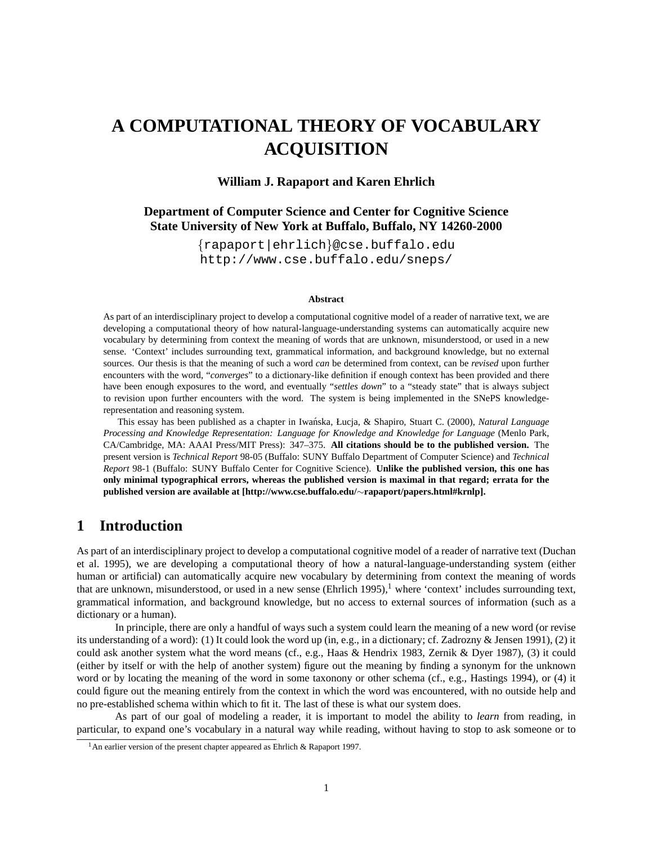# **A COMPUTATIONAL THEORY OF VOCABULARY ACQUISITION**

**William J. Rapaport and Karen Ehrlich**

### **Department of Computer Science and Center for Cognitive Science State University of New York at Buffalo, Buffalo, NY 14260-2000**

{rapaport|ehrlich}@cse.buffalo.edu http://www.cse.buffalo.edu/sneps/

#### **Abstract**

As part of an interdisciplinary project to develop a computational cognitive model of a reader of narrative text, we are developing a computational theory of how natural-language-understanding systems can automatically acquire new vocabulary by determining from context the meaning of words that are unknown, misunderstood, or used in a new sense. 'Context' includes surrounding text, grammatical information, and background knowledge, but no external sources. Our thesis is that the meaning of such a word *can* be determined from context, can be *revised* upon further encounters with the word, "*converges*" to a dictionary-like definition if enough context has been provided and there have been enough exposures to the word, and eventually "*settles down*" to a "steady state" that is always subject to revision upon further encounters with the word. The system is being implemented in the SNePS knowledgerepresentation and reasoning system.

This essay has been published as a chapter in Iwanska, Łucja, & Shapiro, Stuart C. (2000), *Natural Language Processing and Knowledge Representation: Language for Knowledge and Knowledge for Language* (Menlo Park, CA/Cambridge, MA: AAAI Press/MIT Press): 347–375. **All citations should be to the published version.** The present version is *Technical Report* 98-05 (Buffalo: SUNY Buffalo Department of Computer Science) and *Technical Report* 98-1 (Buffalo: SUNY Buffalo Center for Cognitive Science). **Unlike the published version, this one has only minimal typographical errors, whereas the published version is maximal in that regard; errata for the published version are available at [http://www.cse.buffalo.edu/**∼**rapaport/papers.html#krnlp].**

### **1 Introduction**

As part of an interdisciplinary project to develop a computational cognitive model of a reader of narrative text (Duchan et al. 1995), we are developing a computational theory of how a natural-language-understanding system (either human or artificial) can automatically acquire new vocabulary by determining from context the meaning of words that are unknown, misunderstood, or used in a new sense (Ehrlich 1995),<sup>1</sup> where 'context' includes surrounding text, grammatical information, and background knowledge, but no access to external sources of information (such as a dictionary or a human).

In principle, there are only a handful of ways such a system could learn the meaning of a new word (or revise its understanding of a word): (1) It could look the word up (in, e.g., in a dictionary; cf. Zadrozny & Jensen 1991), (2) it could ask another system what the word means (cf., e.g., Haas & Hendrix 1983, Zernik & Dyer 1987), (3) it could (either by itself or with the help of another system) figure out the meaning by finding a synonym for the unknown word or by locating the meaning of the word in some taxonony or other schema (cf., e.g., Hastings 1994), or (4) it could figure out the meaning entirely from the context in which the word was encountered, with no outside help and no pre-established schema within which to fit it. The last of these is what our system does.

As part of our goal of modeling a reader, it is important to model the ability to *learn* from reading, in particular, to expand one's vocabulary in a natural way while reading, without having to stop to ask someone or to

<sup>&</sup>lt;sup>1</sup>An earlier version of the present chapter appeared as Ehrlich & Rapaport 1997.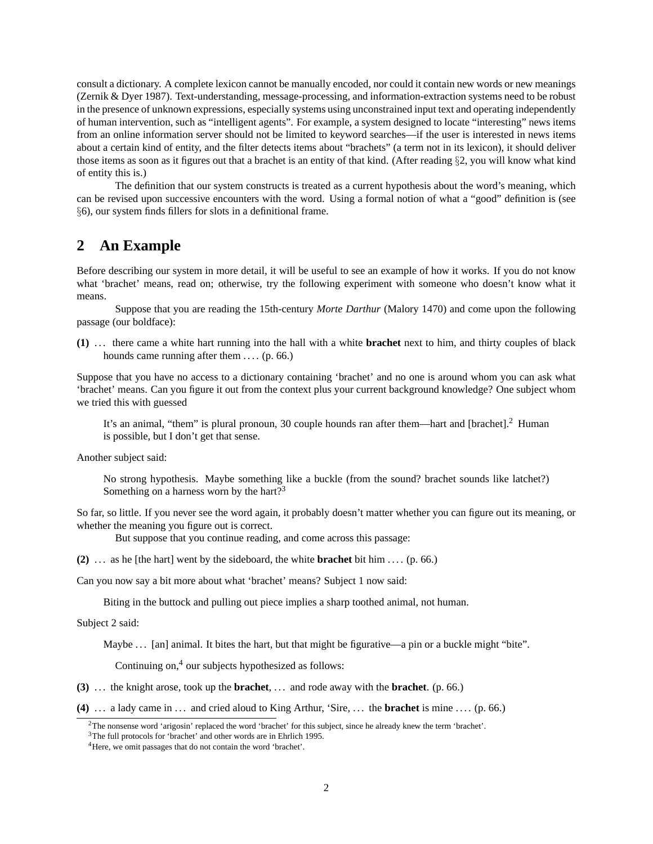consult a dictionary. A complete lexicon cannot be manually encoded, nor could it contain new words or new meanings (Zernik & Dyer 1987). Text-understanding, message-processing, and information-extraction systems need to be robust in the presence of unknown expressions, especially systems using unconstrained input text and operating independently of human intervention, such as "intelligent agents". For example, a system designed to locate "interesting" news items from an online information server should not be limited to keyword searches—if the user is interested in news items about a certain kind of entity, and the filter detects items about "brachets" (a term not in its lexicon), it should deliver those items as soon as it figures out that a brachet is an entity of that kind. (After reading §2, you will know what kind of entity this is.)

The definition that our system constructs is treated as a current hypothesis about the word's meaning, which can be revised upon successive encounters with the word. Using a formal notion of what a "good" definition is (see §6), our system finds fillers for slots in a definitional frame.

### **2 An Example**

Before describing our system in more detail, it will be useful to see an example of how it works. If you do not know what 'brachet' means, read on; otherwise, try the following experiment with someone who doesn't know what it means.

Suppose that you are reading the 15th-century *Morte Darthur* (Malory 1470) and come upon the following passage (our boldface):

**(1)** . . . there came a white hart running into the hall with a white **brachet** next to him, and thirty couples of black hounds came running after them  $\dots$  (p. 66.)

Suppose that you have no access to a dictionary containing 'brachet' and no one is around whom you can ask what 'brachet' means. Can you figure it out from the context plus your current background knowledge? One subject whom we tried this with guessed

It's an animal, "them" is plural pronoun, 30 couple hounds ran after them—hart and [brachet]. <sup>2</sup> Human is possible, but I don't get that sense.

Another subject said:

No strong hypothesis. Maybe something like a buckle (from the sound? brachet sounds like latchet?) Something on a harness worn by the hart?<sup>3</sup>

So far, so little. If you never see the word again, it probably doesn't matter whether you can figure out its meaning, or whether the meaning you figure out is correct.

But suppose that you continue reading, and come across this passage:

**(2)** . . . as he [the hart] went by the sideboard, the white **brachet** bit him . . . . (p. 66.)

Can you now say a bit more about what 'brachet' means? Subject 1 now said:

Biting in the buttock and pulling out piece implies a sharp toothed animal, not human.

Subject 2 said:

Maybe ... [an] animal. It bites the hart, but that might be figurative—a pin or a buckle might "bite".

Continuing on, $4$  our subjects hypothesized as follows:

**(3)** . . . the knight arose, took up the **brachet**, . . . and rode away with the **brachet**. (p. 66.)

**(4)** . . . a lady came in . . . and cried aloud to King Arthur, 'Sire, . . . the **brachet** is mine . . . . (p. 66.)

<sup>2</sup>The nonsense word 'arigosin' replaced the word 'brachet' for this subject, since he already knew the term 'brachet'.

<sup>&</sup>lt;sup>3</sup>The full protocols for 'brachet' and other words are in Ehrlich 1995.

<sup>4</sup>Here, we omit passages that do not contain the word 'brachet'.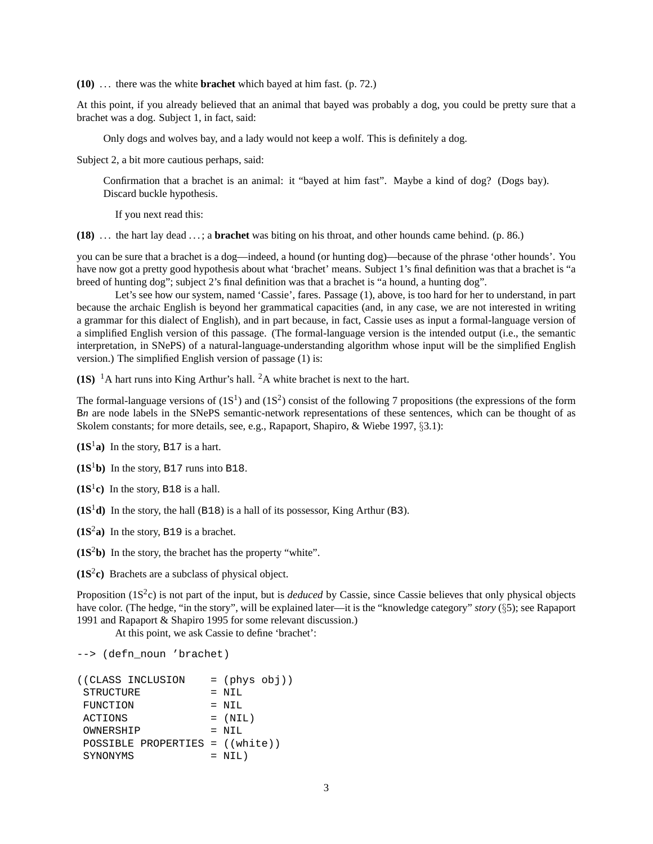**(10)** . . . there was the white **brachet** which bayed at him fast. (p. 72.)

At this point, if you already believed that an animal that bayed was probably a dog, you could be pretty sure that a brachet was a dog. Subject 1, in fact, said:

Only dogs and wolves bay, and a lady would not keep a wolf. This is definitely a dog.

Subject 2, a bit more cautious perhaps, said:

Confirmation that a brachet is an animal: it "bayed at him fast". Maybe a kind of dog? (Dogs bay). Discard buckle hypothesis.

If you next read this:

**(18)** . . . the hart lay dead . . . ; a **brachet** was biting on his throat, and other hounds came behind. (p. 86.)

you can be sure that a brachet is a dog—indeed, a hound (or hunting dog)—because of the phrase 'other hounds'. You have now got a pretty good hypothesis about what 'brachet' means. Subject 1's final definition was that a brachet is "a breed of hunting dog"; subject 2's final definition was that a brachet is "a hound, a hunting dog".

Let's see how our system, named 'Cassie', fares. Passage (1), above, is too hard for her to understand, in part because the archaic English is beyond her grammatical capacities (and, in any case, we are not interested in writing a grammar for this dialect of English), and in part because, in fact, Cassie uses as input a formal-language version of a simplified English version of this passage. (The formal-language version is the intended output (i.e., the semantic interpretation, in SNePS) of a natural-language-understanding algorithm whose input will be the simplified English version.) The simplified English version of passage (1) is:

**(1S)** <sup>1</sup>A hart runs into King Arthur's hall. <sup>2</sup>A white brachet is next to the hart.

The formal-language versions of  $(1S^1)$  and  $(1S^2)$  consist of the following 7 propositions (the expressions of the form B*n* are node labels in the SNePS semantic-network representations of these sentences, which can be thought of as Skolem constants; for more details, see, e.g., Rapaport, Shapiro, & Wiebe 1997, §3.1):

 $(1S<sup>1</sup>a)$  In the story, B17 is a hart.

 $(1S<sup>1</sup>b)$  In the story, B17 runs into B18.

 $(1S<sup>1</sup>c)$  In the story, B18 is a hall.

**(1S**1**d)** In the story, the hall (B18) is a hall of its possessor, King Arthur (B3).

 $(1S^2a)$  In the story, B19 is a brachet.

**(1S**2**b)** In the story, the brachet has the property "white".

**(1S**<sup>2</sup> **c)** Brachets are a subclass of physical object.

Proposition (1S<sup>2</sup>c) is not part of the input, but is *deduced* by Cassie, since Cassie believes that only physical objects have color. (The hedge, "in the story", will be explained later—it is the "knowledge category" *story* (§5); see Rapaport 1991 and Rapaport & Shapiro 1995 for some relevant discussion.)

At this point, we ask Cassie to define 'brachet':

--> (defn\_noun 'brachet)

| ((CLASS INCLUSION                 |  | $=$ (phys obj)) |  |  |
|-----------------------------------|--|-----------------|--|--|
| <b>STRUCTURE</b>                  |  | $=$ NIL         |  |  |
| FUNCTION                          |  | $=$ NIL         |  |  |
| ACTIONS                           |  | $=$ (NIL)       |  |  |
| OWNERSHIP                         |  | $=$ NTL         |  |  |
| POSSIBLE PROPERTIES = $((white))$ |  |                 |  |  |
| SYNONYMS                          |  | $= NIL$         |  |  |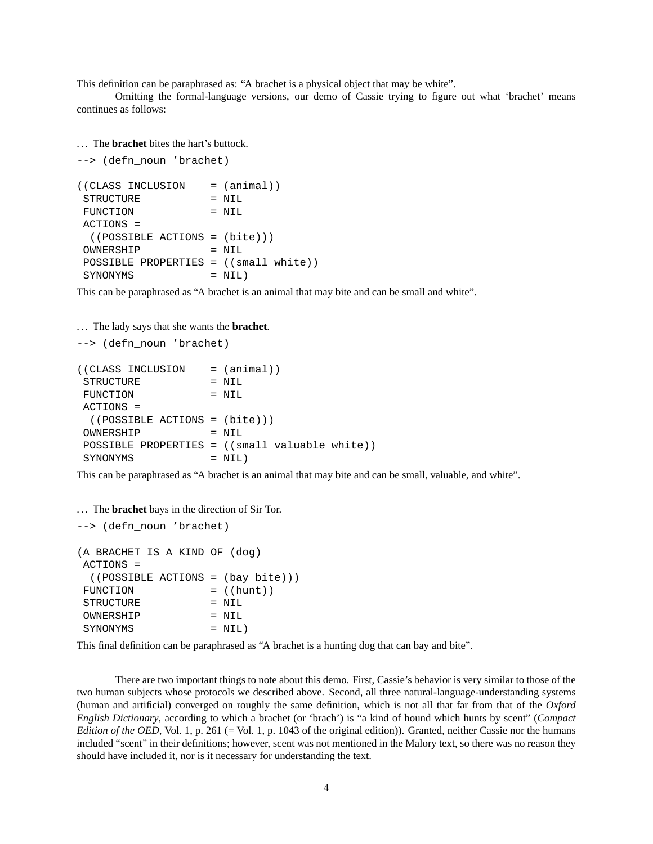This definition can be paraphrased as: "A brachet is a physical object that may be white".

Omitting the formal-language versions, our demo of Cassie trying to figure out what 'brachet' means continues as follows:

. . . The **brachet** bites the hart's buttock.

```
--> (defn_noun 'brachet)
((CLASS INCLUSION = (animal))
STRUCTURE = NIL
FUNCTION = NIL
ACTIONS =
 ((POSSIBLE ACTIONS = (bite)))
OWNERSHIP = NIL
POSSIBLE PROPERTIES = ((small white))
SYNONYMS = NIL)
```
This can be paraphrased as "A brachet is an animal that may bite and can be small and white".

. . . The lady says that she wants the **brachet**.

```
--> (defn_noun 'brachet)
((CLASS INCLUSION = (animal))
STRUCTURE = NIL
FUNCTION = NIL
ACTIONS =
 ((POSSIBLE ACTIONS = (bite)))
OWNERSHIP = NIL
POSSIBLE PROPERTIES = ((small valuable white))
SYNONYMS = NIL)
```
This can be paraphrased as "A brachet is an animal that may bite and can be small, valuable, and white".

. . . The **brachet** bays in the direction of Sir Tor.

```
--> (defn_noun 'brachet)
(A BRACHET IS A KIND OF (dog)
ACTIONS =
 ((POSSIBLE ACTIONS = (bay bite)))
FUNCTION = ((hunt))
STRUCTURE = NIL
OWNERSHIP = NIL
SYNONYMS = NIL)
```
This final definition can be paraphrased as "A brachet is a hunting dog that can bay and bite".

There are two important things to note about this demo. First, Cassie's behavior is very similar to those of the two human subjects whose protocols we described above. Second, all three natural-language-understanding systems (human and artificial) converged on roughly the same definition, which is not all that far from that of the *Oxford English Dictionary*, according to which a brachet (or 'brach') is "a kind of hound which hunts by scent" (*Compact Edition of the OED*, Vol. 1, p. 261 (= Vol. 1, p. 1043 of the original edition)). Granted, neither Cassie nor the humans included "scent" in their definitions; however, scent was not mentioned in the Malory text, so there was no reason they should have included it, nor is it necessary for understanding the text.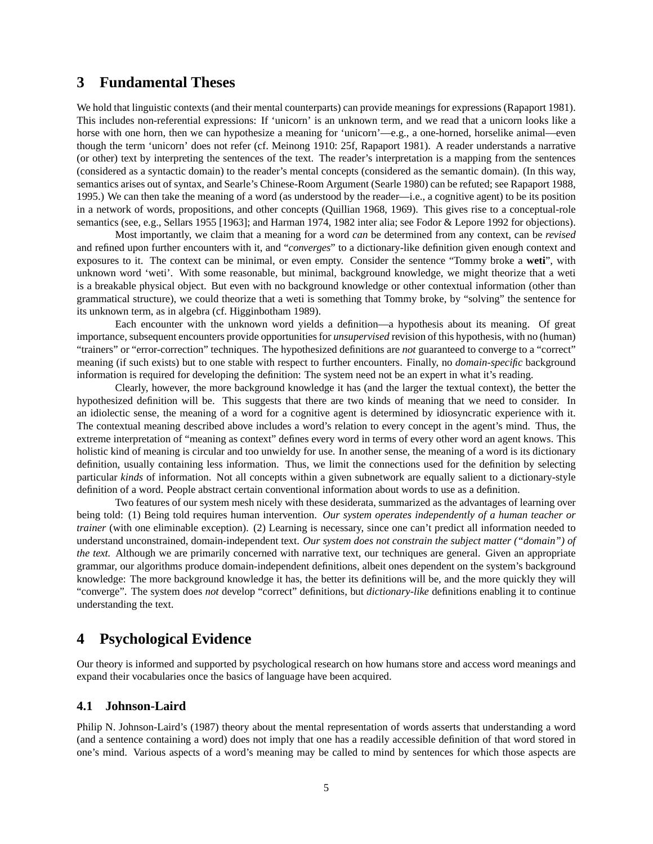### **3 Fundamental Theses**

We hold that linguistic contexts (and their mental counterparts) can provide meanings for expressions (Rapaport 1981). This includes non-referential expressions: If 'unicorn' is an unknown term, and we read that a unicorn looks like a horse with one horn, then we can hypothesize a meaning for 'unicorn'—e.g., a one-horned, horselike animal—even though the term 'unicorn' does not refer (cf. Meinong 1910: 25f, Rapaport 1981). A reader understands a narrative (or other) text by interpreting the sentences of the text. The reader's interpretation is a mapping from the sentences (considered as a syntactic domain) to the reader's mental concepts (considered as the semantic domain). (In this way, semantics arises out of syntax, and Searle's Chinese-Room Argument (Searle 1980) can be refuted; see Rapaport 1988, 1995.) We can then take the meaning of a word (as understood by the reader—i.e., a cognitive agent) to be its position in a network of words, propositions, and other concepts (Quillian 1968, 1969). This gives rise to a conceptual-role semantics (see, e.g., Sellars 1955 [1963]; and Harman 1974, 1982 inter alia; see Fodor & Lepore 1992 for objections).

Most importantly, we claim that a meaning for a word *can* be determined from any context, can be *revised* and refined upon further encounters with it, and "*converges*" to a dictionary-like definition given enough context and exposures to it. The context can be minimal, or even empty. Consider the sentence "Tommy broke a **weti**", with unknown word 'weti'. With some reasonable, but minimal, background knowledge, we might theorize that a weti is a breakable physical object. But even with no background knowledge or other contextual information (other than grammatical structure), we could theorize that a weti is something that Tommy broke, by "solving" the sentence for its unknown term, as in algebra (cf. Higginbotham 1989).

Each encounter with the unknown word yields a definition—a hypothesis about its meaning. Of great importance, subsequent encounters provide opportunities for *unsupervised* revision of this hypothesis, with no (human) "trainers" or "error-correction" techniques. The hypothesized definitions are *not* guaranteed to converge to a "correct" meaning (if such exists) but to one stable with respect to further encounters. Finally, no *domain-specific* background information is required for developing the definition: The system need not be an expert in what it's reading.

Clearly, however, the more background knowledge it has (and the larger the textual context), the better the hypothesized definition will be. This suggests that there are two kinds of meaning that we need to consider. In an idiolectic sense, the meaning of a word for a cognitive agent is determined by idiosyncratic experience with it. The contextual meaning described above includes a word's relation to every concept in the agent's mind. Thus, the extreme interpretation of "meaning as context" defines every word in terms of every other word an agent knows. This holistic kind of meaning is circular and too unwieldy for use. In another sense, the meaning of a word is its dictionary definition, usually containing less information. Thus, we limit the connections used for the definition by selecting particular *kinds* of information. Not all concepts within a given subnetwork are equally salient to a dictionary-style definition of a word. People abstract certain conventional information about words to use as a definition.

Two features of our system mesh nicely with these desiderata, summarized as the advantages of learning over being told: (1) Being told requires human intervention. *Our system operates independently of a human teacher or trainer* (with one eliminable exception). (2) Learning is necessary, since one can't predict all information needed to understand unconstrained, domain-independent text. *Our system does not constrain the subject matter ("domain") of the text.* Although we are primarily concerned with narrative text, our techniques are general. Given an appropriate grammar, our algorithms produce domain-independent definitions, albeit ones dependent on the system's background knowledge: The more background knowledge it has, the better its definitions will be, and the more quickly they will "converge". The system does *not* develop "correct" definitions, but *dictionary-like* definitions enabling it to continue understanding the text.

### **4 Psychological Evidence**

Our theory is informed and supported by psychological research on how humans store and access word meanings and expand their vocabularies once the basics of language have been acquired.

### **4.1 Johnson-Laird**

Philip N. Johnson-Laird's (1987) theory about the mental representation of words asserts that understanding a word (and a sentence containing a word) does not imply that one has a readily accessible definition of that word stored in one's mind. Various aspects of a word's meaning may be called to mind by sentences for which those aspects are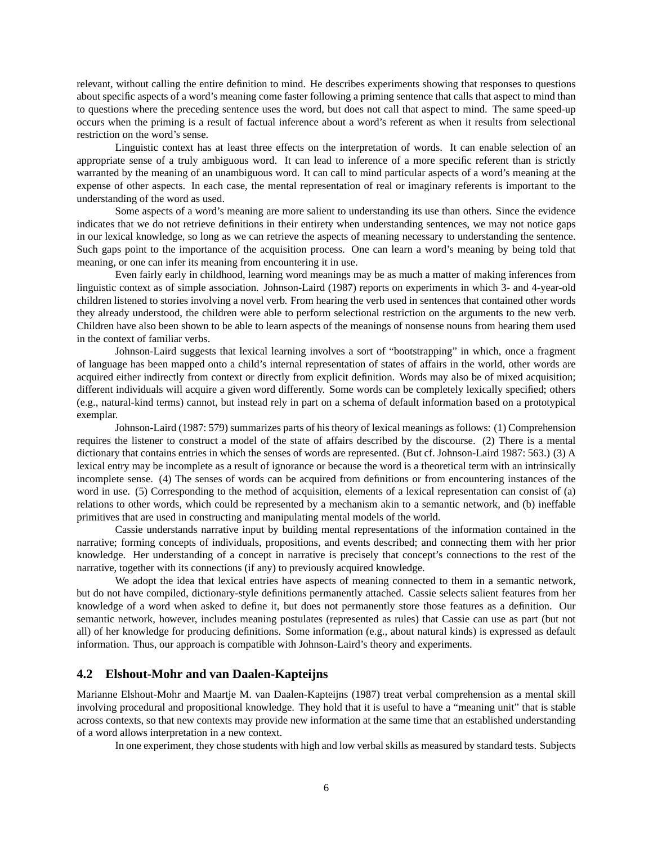relevant, without calling the entire definition to mind. He describes experiments showing that responses to questions about specific aspects of a word's meaning come faster following a priming sentence that calls that aspect to mind than to questions where the preceding sentence uses the word, but does not call that aspect to mind. The same speed-up occurs when the priming is a result of factual inference about a word's referent as when it results from selectional restriction on the word's sense.

Linguistic context has at least three effects on the interpretation of words. It can enable selection of an appropriate sense of a truly ambiguous word. It can lead to inference of a more specific referent than is strictly warranted by the meaning of an unambiguous word. It can call to mind particular aspects of a word's meaning at the expense of other aspects. In each case, the mental representation of real or imaginary referents is important to the understanding of the word as used.

Some aspects of a word's meaning are more salient to understanding its use than others. Since the evidence indicates that we do not retrieve definitions in their entirety when understanding sentences, we may not notice gaps in our lexical knowledge, so long as we can retrieve the aspects of meaning necessary to understanding the sentence. Such gaps point to the importance of the acquisition process. One can learn a word's meaning by being told that meaning, or one can infer its meaning from encountering it in use.

Even fairly early in childhood, learning word meanings may be as much a matter of making inferences from linguistic context as of simple association. Johnson-Laird (1987) reports on experiments in which 3- and 4-year-old children listened to stories involving a novel verb. From hearing the verb used in sentences that contained other words they already understood, the children were able to perform selectional restriction on the arguments to the new verb. Children have also been shown to be able to learn aspects of the meanings of nonsense nouns from hearing them used in the context of familiar verbs.

Johnson-Laird suggests that lexical learning involves a sort of "bootstrapping" in which, once a fragment of language has been mapped onto a child's internal representation of states of affairs in the world, other words are acquired either indirectly from context or directly from explicit definition. Words may also be of mixed acquisition; different individuals will acquire a given word differently. Some words can be completely lexically specified; others (e.g., natural-kind terms) cannot, but instead rely in part on a schema of default information based on a prototypical exemplar.

Johnson-Laird (1987: 579) summarizes parts of his theory of lexical meanings as follows: (1) Comprehension requires the listener to construct a model of the state of affairs described by the discourse. (2) There is a mental dictionary that contains entries in which the senses of words are represented. (But cf. Johnson-Laird 1987: 563.) (3) A lexical entry may be incomplete as a result of ignorance or because the word is a theoretical term with an intrinsically incomplete sense. (4) The senses of words can be acquired from definitions or from encountering instances of the word in use. (5) Corresponding to the method of acquisition, elements of a lexical representation can consist of (a) relations to other words, which could be represented by a mechanism akin to a semantic network, and (b) ineffable primitives that are used in constructing and manipulating mental models of the world.

Cassie understands narrative input by building mental representations of the information contained in the narrative; forming concepts of individuals, propositions, and events described; and connecting them with her prior knowledge. Her understanding of a concept in narrative is precisely that concept's connections to the rest of the narrative, together with its connections (if any) to previously acquired knowledge.

We adopt the idea that lexical entries have aspects of meaning connected to them in a semantic network, but do not have compiled, dictionary-style definitions permanently attached. Cassie selects salient features from her knowledge of a word when asked to define it, but does not permanently store those features as a definition. Our semantic network, however, includes meaning postulates (represented as rules) that Cassie can use as part (but not all) of her knowledge for producing definitions. Some information (e.g., about natural kinds) is expressed as default information. Thus, our approach is compatible with Johnson-Laird's theory and experiments.

#### **4.2 Elshout-Mohr and van Daalen-Kapteijns**

Marianne Elshout-Mohr and Maartje M. van Daalen-Kapteijns (1987) treat verbal comprehension as a mental skill involving procedural and propositional knowledge. They hold that it is useful to have a "meaning unit" that is stable across contexts, so that new contexts may provide new information at the same time that an established understanding of a word allows interpretation in a new context.

In one experiment, they chose students with high and low verbal skills as measured by standard tests. Subjects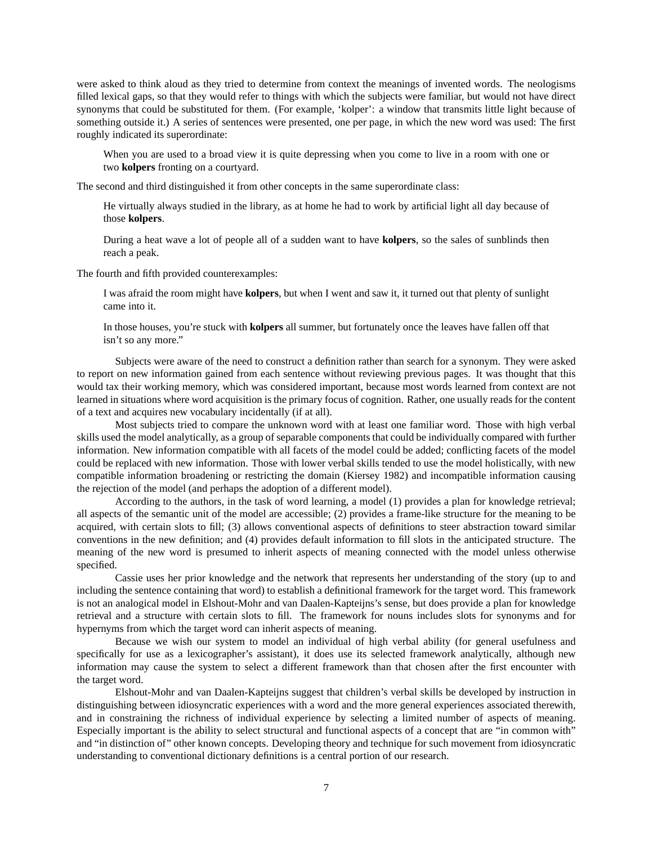were asked to think aloud as they tried to determine from context the meanings of invented words. The neologisms filled lexical gaps, so that they would refer to things with which the subjects were familiar, but would not have direct synonyms that could be substituted for them. (For example, 'kolper': a window that transmits little light because of something outside it.) A series of sentences were presented, one per page, in which the new word was used: The first roughly indicated its superordinate:

When you are used to a broad view it is quite depressing when you come to live in a room with one or two **kolpers** fronting on a courtyard.

The second and third distinguished it from other concepts in the same superordinate class:

He virtually always studied in the library, as at home he had to work by artificial light all day because of those **kolpers**.

During a heat wave a lot of people all of a sudden want to have **kolpers**, so the sales of sunblinds then reach a peak.

The fourth and fifth provided counterexamples:

I was afraid the room might have **kolpers**, but when I went and saw it, it turned out that plenty of sunlight came into it.

In those houses, you're stuck with **kolpers** all summer, but fortunately once the leaves have fallen off that isn't so any more."

Subjects were aware of the need to construct a definition rather than search for a synonym. They were asked to report on new information gained from each sentence without reviewing previous pages. It was thought that this would tax their working memory, which was considered important, because most words learned from context are not learned in situations where word acquisition is the primary focus of cognition. Rather, one usually reads for the content of a text and acquires new vocabulary incidentally (if at all).

Most subjects tried to compare the unknown word with at least one familiar word. Those with high verbal skills used the model analytically, as a group of separable components that could be individually compared with further information. New information compatible with all facets of the model could be added; conflicting facets of the model could be replaced with new information. Those with lower verbal skills tended to use the model holistically, with new compatible information broadening or restricting the domain (Kiersey 1982) and incompatible information causing the rejection of the model (and perhaps the adoption of a different model).

According to the authors, in the task of word learning, a model (1) provides a plan for knowledge retrieval; all aspects of the semantic unit of the model are accessible; (2) provides a frame-like structure for the meaning to be acquired, with certain slots to fill; (3) allows conventional aspects of definitions to steer abstraction toward similar conventions in the new definition; and (4) provides default information to fill slots in the anticipated structure. The meaning of the new word is presumed to inherit aspects of meaning connected with the model unless otherwise specified.

Cassie uses her prior knowledge and the network that represents her understanding of the story (up to and including the sentence containing that word) to establish a definitional framework for the target word. This framework is not an analogical model in Elshout-Mohr and van Daalen-Kapteijns's sense, but does provide a plan for knowledge retrieval and a structure with certain slots to fill. The framework for nouns includes slots for synonyms and for hypernyms from which the target word can inherit aspects of meaning.

Because we wish our system to model an individual of high verbal ability (for general usefulness and specifically for use as a lexicographer's assistant), it does use its selected framework analytically, although new information may cause the system to select a different framework than that chosen after the first encounter with the target word.

Elshout-Mohr and van Daalen-Kapteijns suggest that children's verbal skills be developed by instruction in distinguishing between idiosyncratic experiences with a word and the more general experiences associated therewith, and in constraining the richness of individual experience by selecting a limited number of aspects of meaning. Especially important is the ability to select structural and functional aspects of a concept that are "in common with" and "in distinction of" other known concepts. Developing theory and technique for such movement from idiosyncratic understanding to conventional dictionary definitions is a central portion of our research.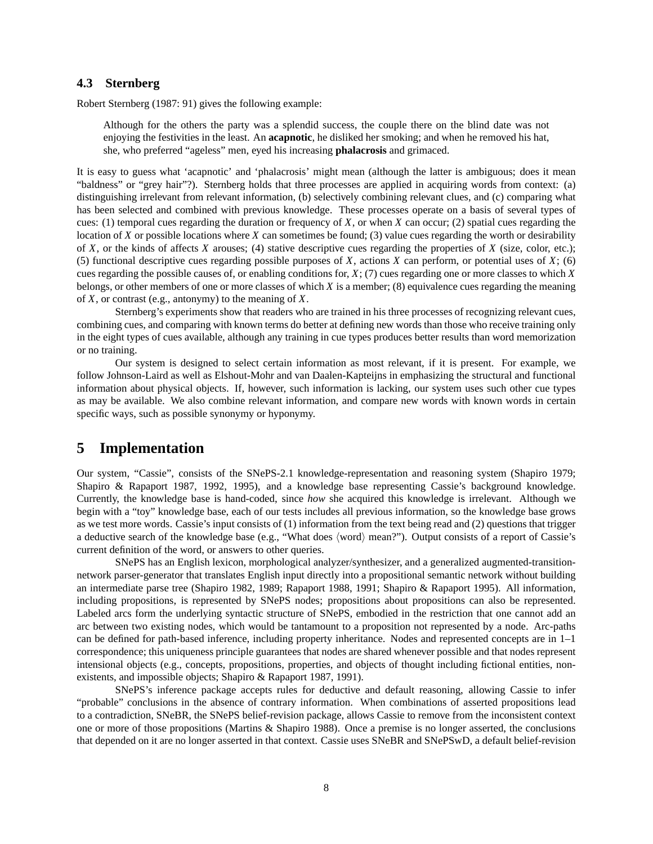### **4.3 Sternberg**

Robert Sternberg (1987: 91) gives the following example:

Although for the others the party was a splendid success, the couple there on the blind date was not enjoying the festivities in the least. An **acapnotic**, he disliked her smoking; and when he removed his hat, she, who preferred "ageless" men, eyed his increasing **phalacrosis** and grimaced.

It is easy to guess what 'acapnotic' and 'phalacrosis' might mean (although the latter is ambiguous; does it mean "baldness" or "grey hair"?). Sternberg holds that three processes are applied in acquiring words from context: (a) distinguishing irrelevant from relevant information, (b) selectively combining relevant clues, and (c) comparing what has been selected and combined with previous knowledge. These processes operate on a basis of several types of cues: (1) temporal cues regarding the duration or frequency of *X*, or when *X* can occur; (2) spatial cues regarding the location of *X* or possible locations where *X* can sometimes be found; (3) value cues regarding the worth or desirability of *X*, or the kinds of affects *X* arouses; (4) stative descriptive cues regarding the properties of *X* (size, color, etc.); (5) functional descriptive cues regarding possible purposes of *X*, actions *X* can perform, or potential uses of *X*; (6) cues regarding the possible causes of, or enabling conditions for, *X*; (7) cues regarding one or more classes to which *X* belongs, or other members of one or more classes of which *X* is a member; (8) equivalence cues regarding the meaning of *X*, or contrast (e.g., antonymy) to the meaning of *X*.

Sternberg's experiments show that readers who are trained in his three processes of recognizing relevant cues, combining cues, and comparing with known terms do better at defining new words than those who receive training only in the eight types of cues available, although any training in cue types produces better results than word memorization or no training.

Our system is designed to select certain information as most relevant, if it is present. For example, we follow Johnson-Laird as well as Elshout-Mohr and van Daalen-Kapteijns in emphasizing the structural and functional information about physical objects. If, however, such information is lacking, our system uses such other cue types as may be available. We also combine relevant information, and compare new words with known words in certain specific ways, such as possible synonymy or hyponymy.

### **5 Implementation**

Our system, "Cassie", consists of the SNePS-2.1 knowledge-representation and reasoning system (Shapiro 1979; Shapiro & Rapaport 1987, 1992, 1995), and a knowledge base representing Cassie's background knowledge. Currently, the knowledge base is hand-coded, since *how* she acquired this knowledge is irrelevant. Although we begin with a "toy" knowledge base, each of our tests includes all previous information, so the knowledge base grows as we test more words. Cassie's input consists of (1) information from the text being read and (2) questions that trigger a deductive search of the knowledge base (e.g., "What does (word) mean?"). Output consists of a report of Cassie's current definition of the word, or answers to other queries.

SNePS has an English lexicon, morphological analyzer/synthesizer, and a generalized augmented-transitionnetwork parser-generator that translates English input directly into a propositional semantic network without building an intermediate parse tree (Shapiro 1982, 1989; Rapaport 1988, 1991; Shapiro & Rapaport 1995). All information, including propositions, is represented by SNePS nodes; propositions about propositions can also be represented. Labeled arcs form the underlying syntactic structure of SNePS, embodied in the restriction that one cannot add an arc between two existing nodes, which would be tantamount to a proposition not represented by a node. Arc-paths can be defined for path-based inference, including property inheritance. Nodes and represented concepts are in 1–1 correspondence; this uniqueness principle guarantees that nodes are shared whenever possible and that nodes represent intensional objects (e.g., concepts, propositions, properties, and objects of thought including fictional entities, nonexistents, and impossible objects; Shapiro & Rapaport 1987, 1991).

SNePS's inference package accepts rules for deductive and default reasoning, allowing Cassie to infer "probable" conclusions in the absence of contrary information. When combinations of asserted propositions lead to a contradiction, SNeBR, the SNePS belief-revision package, allows Cassie to remove from the inconsistent context one or more of those propositions (Martins & Shapiro 1988). Once a premise is no longer asserted, the conclusions that depended on it are no longer asserted in that context. Cassie uses SNeBR and SNePSwD, a default belief-revision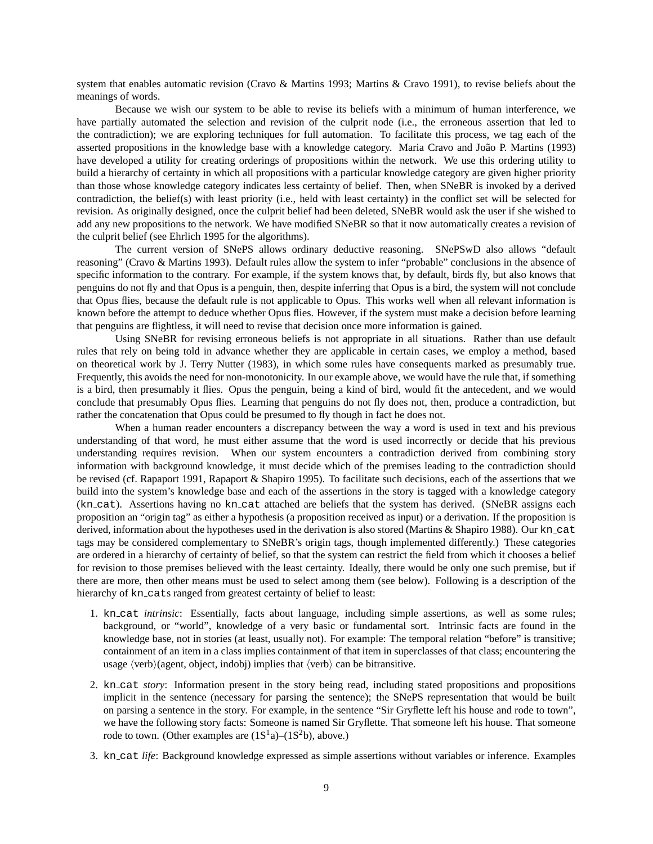system that enables automatic revision (Cravo & Martins 1993; Martins & Cravo 1991), to revise beliefs about the meanings of words.

Because we wish our system to be able to revise its beliefs with a minimum of human interference, we have partially automated the selection and revision of the culprit node (i.e., the erroneous assertion that led to the contradiction); we are exploring techniques for full automation. To facilitate this process, we tag each of the asserted propositions in the knowledge base with a knowledge category. Maria Cravo and João P. Martins (1993) have developed a utility for creating orderings of propositions within the network. We use this ordering utility to build a hierarchy of certainty in which all propositions with a particular knowledge category are given higher priority than those whose knowledge category indicates less certainty of belief. Then, when SNeBR is invoked by a derived contradiction, the belief(s) with least priority (i.e., held with least certainty) in the conflict set will be selected for revision. As originally designed, once the culprit belief had been deleted, SNeBR would ask the user if she wished to add any new propositions to the network. We have modified SNeBR so that it now automatically creates a revision of the culprit belief (see Ehrlich 1995 for the algorithms).

The current version of SNePS allows ordinary deductive reasoning. SNePSwD also allows "default reasoning" (Cravo & Martins 1993). Default rules allow the system to infer "probable" conclusions in the absence of specific information to the contrary. For example, if the system knows that, by default, birds fly, but also knows that penguins do not fly and that Opus is a penguin, then, despite inferring that Opus is a bird, the system will not conclude that Opus flies, because the default rule is not applicable to Opus. This works well when all relevant information is known before the attempt to deduce whether Opus flies. However, if the system must make a decision before learning that penguins are flightless, it will need to revise that decision once more information is gained.

Using SNeBR for revising erroneous beliefs is not appropriate in all situations. Rather than use default rules that rely on being told in advance whether they are applicable in certain cases, we employ a method, based on theoretical work by J. Terry Nutter (1983), in which some rules have consequents marked as presumably true. Frequently, this avoids the need for non-monotonicity. In our example above, we would have the rule that, if something is a bird, then presumably it flies. Opus the penguin, being a kind of bird, would fit the antecedent, and we would conclude that presumably Opus flies. Learning that penguins do not fly does not, then, produce a contradiction, but rather the concatenation that Opus could be presumed to fly though in fact he does not.

When a human reader encounters a discrepancy between the way a word is used in text and his previous understanding of that word, he must either assume that the word is used incorrectly or decide that his previous understanding requires revision. When our system encounters a contradiction derived from combining story information with background knowledge, it must decide which of the premises leading to the contradiction should be revised (cf. Rapaport 1991, Rapaport & Shapiro 1995). To facilitate such decisions, each of the assertions that we build into the system's knowledge base and each of the assertions in the story is tagged with a knowledge category (kn\_cat). Assertions having no kn\_cat attached are beliefs that the system has derived. (SNeBR assigns each proposition an "origin tag" as either a hypothesis (a proposition received as input) or a derivation. If the proposition is derived, information about the hypotheses used in the derivation is also stored (Martins & Shapiro 1988). Our kn cat tags may be considered complementary to SNeBR's origin tags, though implemented differently.) These categories are ordered in a hierarchy of certainty of belief, so that the system can restrict the field from which it chooses a belief for revision to those premises believed with the least certainty. Ideally, there would be only one such premise, but if there are more, then other means must be used to select among them (see below). Following is a description of the hierarchy of kn\_cats ranged from greatest certainty of belief to least:

- 1. kn cat *intrinsic*: Essentially, facts about language, including simple assertions, as well as some rules; background, or "world", knowledge of a very basic or fundamental sort. Intrinsic facts are found in the knowledge base, not in stories (at least, usually not). For example: The temporal relation "before" is transitive; containment of an item in a class implies containment of that item in superclasses of that class; encountering the usage  $\langle \text{verb} \rangle$  (agent, object, indobj) implies that  $\langle \text{verb} \rangle$  can be bitransitive.
- 2. kn cat *story*: Information present in the story being read, including stated propositions and propositions implicit in the sentence (necessary for parsing the sentence); the SNePS representation that would be built on parsing a sentence in the story. For example, in the sentence "Sir Gryflette left his house and rode to town", we have the following story facts: Someone is named Sir Gryflette. That someone left his house. That someone rode to town. (Other examples are  $(1S^1a)$ – $(1S^2b)$ , above.)
- 3. kn cat *life*: Background knowledge expressed as simple assertions without variables or inference. Examples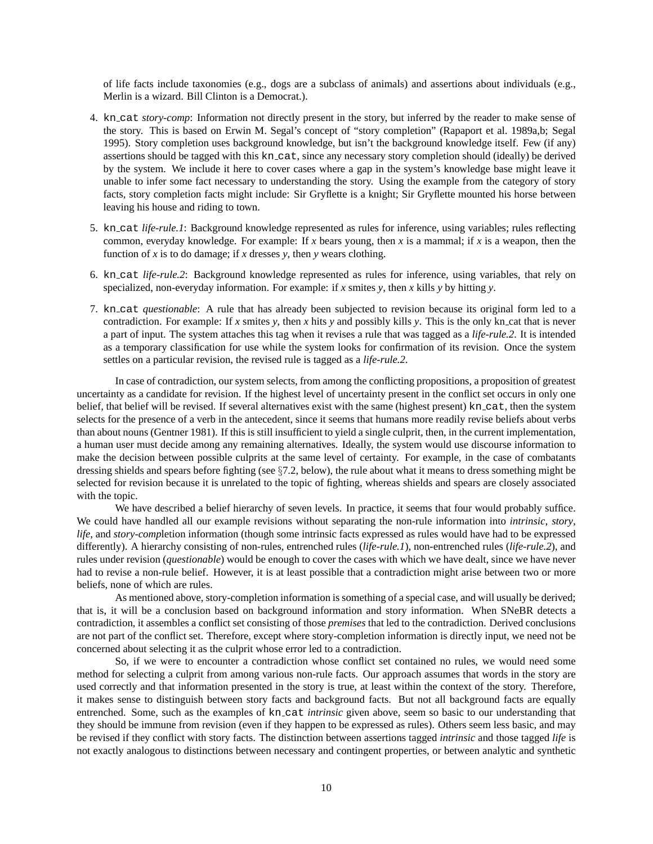of life facts include taxonomies (e.g., dogs are a subclass of animals) and assertions about individuals (e.g., Merlin is a wizard. Bill Clinton is a Democrat.).

- 4. kn cat *story-comp*: Information not directly present in the story, but inferred by the reader to make sense of the story. This is based on Erwin M. Segal's concept of "story completion" (Rapaport et al. 1989a,b; Segal 1995). Story completion uses background knowledge, but isn't the background knowledge itself. Few (if any) assertions should be tagged with this kn\_cat, since any necessary story completion should (ideally) be derived by the system. We include it here to cover cases where a gap in the system's knowledge base might leave it unable to infer some fact necessary to understanding the story. Using the example from the category of story facts, story completion facts might include: Sir Gryflette is a knight; Sir Gryflette mounted his horse between leaving his house and riding to town.
- 5. kn cat *life-rule.1*: Background knowledge represented as rules for inference, using variables; rules reflecting common, everyday knowledge. For example: If  $x$  bears young, then  $x$  is a mammal; if  $x$  is a weapon, then the function of *x* is to do damage; if *x* dresses *y*, then *y* wears clothing.
- 6. kn cat *life-rule.2*: Background knowledge represented as rules for inference, using variables, that rely on specialized, non-everyday information. For example: if *x* smites *y*, then *x* kills *y* by hitting *y*.
- 7. kn cat *questionable*: A rule that has already been subjected to revision because its original form led to a contradiction. For example: If *x* smites *y*, then *x* hits *y* and possibly kills *y*. This is the only kn cat that is never a part of input. The system attaches this tag when it revises a rule that was tagged as a *life-rule.2*. It is intended as a temporary classification for use while the system looks for confirmation of its revision. Once the system settles on a particular revision, the revised rule is tagged as a *life-rule.2*.

In case of contradiction, our system selects, from among the conflicting propositions, a proposition of greatest uncertainty as a candidate for revision. If the highest level of uncertainty present in the conflict set occurs in only one belief, that belief will be revised. If several alternatives exist with the same (highest present) kn\_cat, then the system selects for the presence of a verb in the antecedent, since it seems that humans more readily revise beliefs about verbs than about nouns (Gentner 1981). If this is still insufficient to yield a single culprit, then, in the current implementation, a human user must decide among any remaining alternatives. Ideally, the system would use discourse information to make the decision between possible culprits at the same level of certainty. For example, in the case of combatants dressing shields and spears before fighting (see §7.2, below), the rule about what it means to dress something might be selected for revision because it is unrelated to the topic of fighting, whereas shields and spears are closely associated with the topic.

We have described a belief hierarchy of seven levels. In practice, it seems that four would probably suffice. We could have handled all our example revisions without separating the non-rule information into *intrinsic*, *story*, *life*, and *story-comp*letion information (though some intrinsic facts expressed as rules would have had to be expressed differently). A hierarchy consisting of non-rules, entrenched rules (*life-rule.1*), non-entrenched rules (*life-rule.2*), and rules under revision (*questionable*) would be enough to cover the cases with which we have dealt, since we have never had to revise a non-rule belief. However, it is at least possible that a contradiction might arise between two or more beliefs, none of which are rules.

As mentioned above, story-completion information is something of a special case, and will usually be derived; that is, it will be a conclusion based on background information and story information. When SNeBR detects a contradiction, it assembles a conflict set consisting of those *premises* that led to the contradiction. Derived conclusions are not part of the conflict set. Therefore, except where story-completion information is directly input, we need not be concerned about selecting it as the culprit whose error led to a contradiction.

So, if we were to encounter a contradiction whose conflict set contained no rules, we would need some method for selecting a culprit from among various non-rule facts. Our approach assumes that words in the story are used correctly and that information presented in the story is true, at least within the context of the story. Therefore, it makes sense to distinguish between story facts and background facts. But not all background facts are equally entrenched. Some, such as the examples of kn\_cat *intrinsic* given above, seem so basic to our understanding that they should be immune from revision (even if they happen to be expressed as rules). Others seem less basic, and may be revised if they conflict with story facts. The distinction between assertions tagged *intrinsic* and those tagged *life* is not exactly analogous to distinctions between necessary and contingent properties, or between analytic and synthetic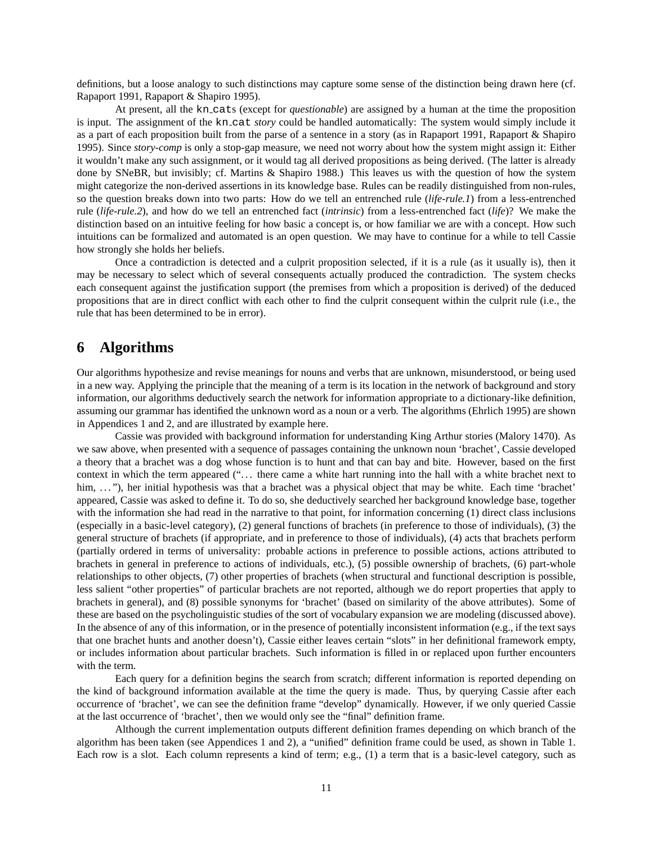definitions, but a loose analogy to such distinctions may capture some sense of the distinction being drawn here (cf. Rapaport 1991, Rapaport & Shapiro 1995).

At present, all the kn cats (except for *questionable*) are assigned by a human at the time the proposition is input. The assignment of the kn\_cat *story* could be handled automatically: The system would simply include it as a part of each proposition built from the parse of a sentence in a story (as in Rapaport 1991, Rapaport & Shapiro 1995). Since *story-comp* is only a stop-gap measure, we need not worry about how the system might assign it: Either it wouldn't make any such assignment, or it would tag all derived propositions as being derived. (The latter is already done by SNeBR, but invisibly; cf. Martins & Shapiro 1988.) This leaves us with the question of how the system might categorize the non-derived assertions in its knowledge base. Rules can be readily distinguished from non-rules, so the question breaks down into two parts: How do we tell an entrenched rule (*life-rule.1*) from a less-entrenched rule (*life-rule.2*), and how do we tell an entrenched fact (*intrinsic*) from a less-entrenched fact (*life*)? We make the distinction based on an intuitive feeling for how basic a concept is, or how familiar we are with a concept. How such intuitions can be formalized and automated is an open question. We may have to continue for a while to tell Cassie how strongly she holds her beliefs.

Once a contradiction is detected and a culprit proposition selected, if it is a rule (as it usually is), then it may be necessary to select which of several consequents actually produced the contradiction. The system checks each consequent against the justification support (the premises from which a proposition is derived) of the deduced propositions that are in direct conflict with each other to find the culprit consequent within the culprit rule (i.e., the rule that has been determined to be in error).

### **6 Algorithms**

Our algorithms hypothesize and revise meanings for nouns and verbs that are unknown, misunderstood, or being used in a new way. Applying the principle that the meaning of a term is its location in the network of background and story information, our algorithms deductively search the network for information appropriate to a dictionary-like definition, assuming our grammar has identified the unknown word as a noun or a verb. The algorithms (Ehrlich 1995) are shown in Appendices 1 and 2, and are illustrated by example here.

Cassie was provided with background information for understanding King Arthur stories (Malory 1470). As we saw above, when presented with a sequence of passages containing the unknown noun 'brachet', Cassie developed a theory that a brachet was a dog whose function is to hunt and that can bay and bite. However, based on the first context in which the term appeared ("... there came a white hart running into the hall with a white brachet next to him, ..."), her initial hypothesis was that a brachet was a physical object that may be white. Each time 'brachet' appeared, Cassie was asked to define it. To do so, she deductively searched her background knowledge base, together with the information she had read in the narrative to that point, for information concerning (1) direct class inclusions (especially in a basic-level category), (2) general functions of brachets (in preference to those of individuals), (3) the general structure of brachets (if appropriate, and in preference to those of individuals), (4) acts that brachets perform (partially ordered in terms of universality: probable actions in preference to possible actions, actions attributed to brachets in general in preference to actions of individuals, etc.), (5) possible ownership of brachets, (6) part-whole relationships to other objects, (7) other properties of brachets (when structural and functional description is possible, less salient "other properties" of particular brachets are not reported, although we do report properties that apply to brachets in general), and (8) possible synonyms for 'brachet' (based on similarity of the above attributes). Some of these are based on the psycholinguistic studies of the sort of vocabulary expansion we are modeling (discussed above). In the absence of any of this information, or in the presence of potentially inconsistent information (e.g., if the text says that one brachet hunts and another doesn't), Cassie either leaves certain "slots" in her definitional framework empty, or includes information about particular brachets. Such information is filled in or replaced upon further encounters with the term.

Each query for a definition begins the search from scratch; different information is reported depending on the kind of background information available at the time the query is made. Thus, by querying Cassie after each occurrence of 'brachet', we can see the definition frame "develop" dynamically. However, if we only queried Cassie at the last occurrence of 'brachet', then we would only see the "final" definition frame.

Although the current implementation outputs different definition frames depending on which branch of the algorithm has been taken (see Appendices 1 and 2), a "unified" definition frame could be used, as shown in Table 1. Each row is a slot. Each column represents a kind of term; e.g., (1) a term that is a basic-level category, such as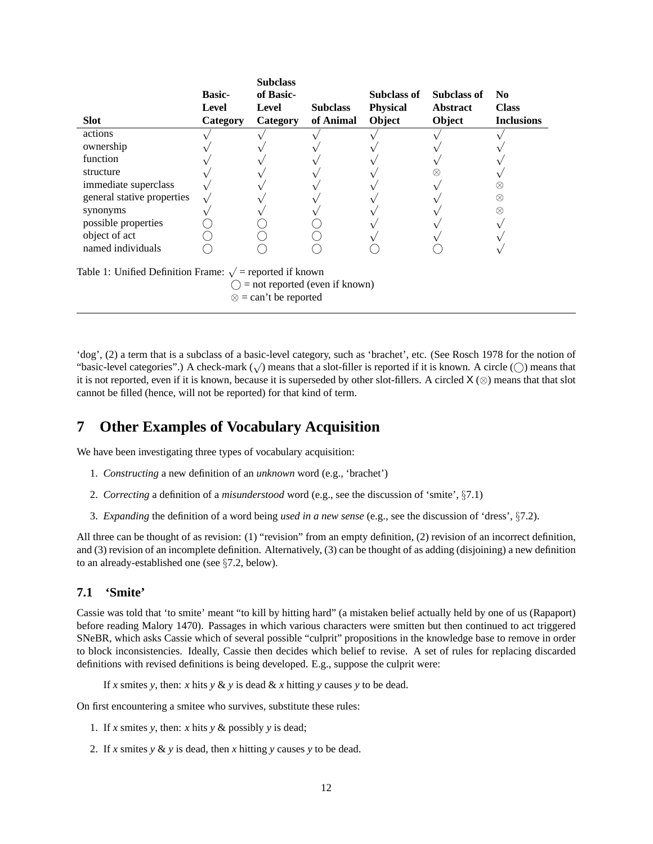| <b>Slot</b>                                                                                                                             | <b>Basic-</b><br><b>Level</b><br><b>Category</b> | <b>Subclass</b><br>of Basic-<br>Level<br>Category | <b>Subclass</b><br>of Animal | <b>Subclass of</b><br><b>Physical</b><br>Object | <b>Subclass of</b><br><b>Abstract</b><br>Object | N <sub>0</sub><br><b>Class</b><br><b>Inclusions</b> |  |  |
|-----------------------------------------------------------------------------------------------------------------------------------------|--------------------------------------------------|---------------------------------------------------|------------------------------|-------------------------------------------------|-------------------------------------------------|-----------------------------------------------------|--|--|
| actions                                                                                                                                 |                                                  |                                                   |                              |                                                 |                                                 |                                                     |  |  |
| ownership                                                                                                                               |                                                  |                                                   |                              |                                                 |                                                 |                                                     |  |  |
| function                                                                                                                                |                                                  |                                                   |                              |                                                 |                                                 |                                                     |  |  |
| structure                                                                                                                               |                                                  |                                                   |                              |                                                 | ⊗                                               |                                                     |  |  |
| immediate superclass                                                                                                                    |                                                  |                                                   |                              |                                                 |                                                 | ⊗                                                   |  |  |
| general stative properties                                                                                                              |                                                  |                                                   |                              |                                                 |                                                 | $\otimes$                                           |  |  |
| synonyms                                                                                                                                |                                                  |                                                   |                              |                                                 |                                                 | $\otimes$                                           |  |  |
| possible properties                                                                                                                     |                                                  |                                                   |                              |                                                 |                                                 |                                                     |  |  |
| object of act                                                                                                                           |                                                  |                                                   |                              |                                                 |                                                 |                                                     |  |  |
| named individuals                                                                                                                       |                                                  |                                                   |                              |                                                 |                                                 |                                                     |  |  |
| Table 1: Unified Definition Frame: $\sqrt{\ }$ = reported if known<br>$=$ not reported (even if known)<br>$\otimes$ = can't be reported |                                                  |                                                   |                              |                                                 |                                                 |                                                     |  |  |

'dog', (2) a term that is a subclass of a basic-level category, such as 'brachet', etc. (See Rosch 1978 for the notion of 'dog', (2) a term that is a subclass of a basic-level category, such as 'brachet', etc. (See Rosch 1978 for the notion of "basic-level categories".) A check-mark (√) means that a slot-filler is reported if it is known. A it is not reported, even if it is known, because it is superseded by other slot-fillers. A circled  $X$  ( $\otimes$ ) means that that slot cannot be filled (hence, will not be reported) for that kind of term.

### **7 Other Examples of Vocabulary Acquisition**

We have been investigating three types of vocabulary acquisition:

- 1. *Constructing* a new definition of an *unknown* word (e.g., 'brachet')
- 2. *Correcting* a definition of a *misunderstood* word (e.g., see the discussion of 'smite', §7.1)
- 3. *Expanding* the definition of a word being *used in a new sense* (e.g., see the discussion of 'dress', §7.2).

All three can be thought of as revision: (1) "revision" from an empty definition, (2) revision of an incorrect definition, and (3) revision of an incomplete definition. Alternatively, (3) can be thought of as adding (disjoining) a new definition to an already-established one (see §7.2, below).

### **7.1 'Smite'**

Cassie was told that 'to smite' meant "to kill by hitting hard" (a mistaken belief actually held by one of us (Rapaport) before reading Malory 1470). Passages in which various characters were smitten but then continued to act triggered SNeBR, which asks Cassie which of several possible "culprit" propositions in the knowledge base to remove in order to block inconsistencies. Ideally, Cassie then decides which belief to revise. A set of rules for replacing discarded definitions with revised definitions is being developed. E.g., suppose the culprit were:

If *x* smites *y*, then: *x* hits *y* & *y* is dead & *x* hitting *y* causes *y* to be dead.

On first encountering a smitee who survives, substitute these rules:

- 1. If *x* smites *y*, then: *x* hits *y* & possibly *y* is dead;
- 2. If *x* smites *y* & *y* is dead, then *x* hitting *y* causes *y* to be dead.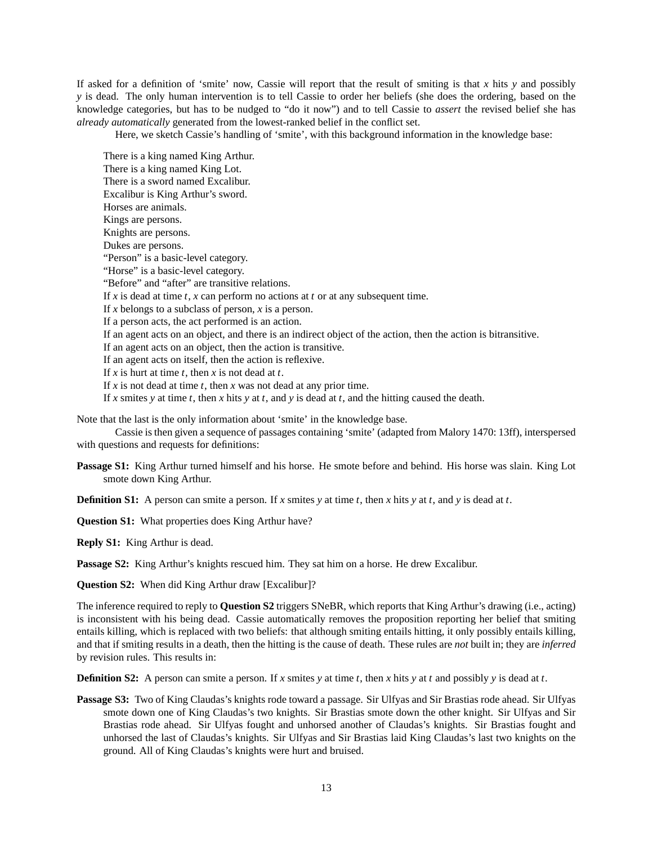If asked for a definition of 'smite' now, Cassie will report that the result of smiting is that *x* hits *y* and possibly *y* is dead. The only human intervention is to tell Cassie to order her beliefs (she does the ordering, based on the knowledge categories, but has to be nudged to "do it now") and to tell Cassie to *assert* the revised belief she has *already automatically* generated from the lowest-ranked belief in the conflict set.

Here, we sketch Cassie's handling of 'smite', with this background information in the knowledge base:

There is a king named King Arthur. There is a king named King Lot. There is a sword named Excalibur. Excalibur is King Arthur's sword. Horses are animals. Kings are persons. Knights are persons. Dukes are persons. "Person" is a basic-level category. "Horse" is a basic-level category. "Before" and "after" are transitive relations. If *x* is dead at time *t*, *x* can perform no actions at *t* or at any subsequent time. If *x* belongs to a subclass of person, *x* is a person. If a person acts, the act performed is an action. If an agent acts on an object, and there is an indirect object of the action, then the action is bitransitive. If an agent acts on an object, then the action is transitive. If an agent acts on itself, then the action is reflexive. If *x* is hurt at time *t*, then *x* is not dead at *t*. If *x* is not dead at time *t*, then *x* was not dead at any prior time. If *x* smites *y* at time *t*, then *x* hits *y* at *t*, and *y* is dead at *t*, and the hitting caused the death.

Note that the last is the only information about 'smite' in the knowledge base.

Cassie is then given a sequence of passages containing 'smite' (adapted from Malory 1470: 13ff), interspersed with questions and requests for definitions:

**Passage S1:** King Arthur turned himself and his horse. He smote before and behind. His horse was slain. King Lot smote down King Arthur.

**Definition S1:** A person can smite a person. If *x* smites *y* at time *t*, then *x* hits *y* at *t*, and *y* is dead at *t*.

**Question S1:** What properties does King Arthur have?

**Reply S1:** King Arthur is dead.

**Passage S2:** King Arthur's knights rescued him. They sat him on a horse. He drew Excalibur.

**Question S2:** When did King Arthur draw [Excalibur]?

The inference required to reply to **Question S2** triggers SNeBR, which reports that King Arthur's drawing (i.e., acting) is inconsistent with his being dead. Cassie automatically removes the proposition reporting her belief that smiting entails killing, which is replaced with two beliefs: that although smiting entails hitting, it only possibly entails killing, and that if smiting results in a death, then the hitting is the cause of death. These rules are *not* built in; they are *inferred* by revision rules. This results in:

**Definition S2:** A person can smite a person. If *x* smites *y* at time *t*, then *x* hits *y* at *t* and possibly *y* is dead at *t*.

**Passage S3:** Two of King Claudas's knights rode toward a passage. Sir Ulfyas and Sir Brastias rode ahead. Sir Ulfyas smote down one of King Claudas's two knights. Sir Brastias smote down the other knight. Sir Ulfyas and Sir Brastias rode ahead. Sir Ulfyas fought and unhorsed another of Claudas's knights. Sir Brastias fought and unhorsed the last of Claudas's knights. Sir Ulfyas and Sir Brastias laid King Claudas's last two knights on the ground. All of King Claudas's knights were hurt and bruised.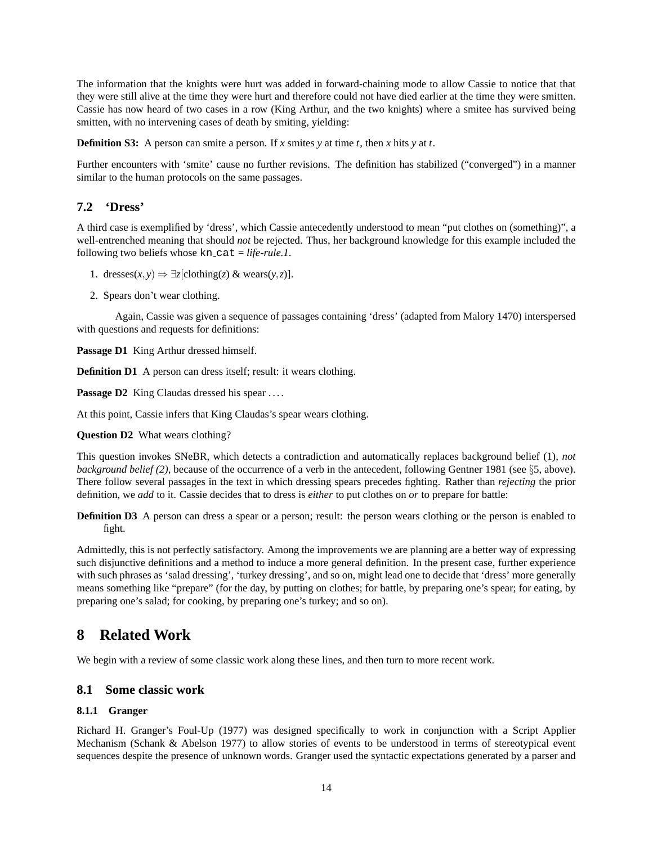The information that the knights were hurt was added in forward-chaining mode to allow Cassie to notice that that they were still alive at the time they were hurt and therefore could not have died earlier at the time they were smitten. Cassie has now heard of two cases in a row (King Arthur, and the two knights) where a smitee has survived being smitten, with no intervening cases of death by smiting, yielding:

**Definition S3:** A person can smite a person. If *x* smites *y* at time *t*, then *x* hits *y* at *t*.

Further encounters with 'smite' cause no further revisions. The definition has stabilized ("converged") in a manner similar to the human protocols on the same passages.

#### **7.2 'Dress'**

A third case is exemplified by 'dress', which Cassie antecedently understood to mean "put clothes on (something)", a well-entrenched meaning that should *not* be rejected. Thus, her background knowledge for this example included the following two beliefs whose  $kn$ -cat = *life-rule.1*.

- 1. dresses $(x, y) \Rightarrow \exists z$ [clothing $(z)$  & wears $(y, z)$ ].
- 2. Spears don't wear clothing.

Again, Cassie was given a sequence of passages containing 'dress' (adapted from Malory 1470) interspersed with questions and requests for definitions:

**Passage D1** King Arthur dressed himself.

**Definition D1** A person can dress itself; result: it wears clothing.

Passage D2 King Claudas dressed his spear ....

At this point, Cassie infers that King Claudas's spear wears clothing.

**Question D2** What wears clothing?

This question invokes SNeBR, which detects a contradiction and automatically replaces background belief (1), *not background belief (2)*, because of the occurrence of a verb in the antecedent, following Gentner 1981 (see §5, above). There follow several passages in the text in which dressing spears precedes fighting. Rather than *rejecting* the prior definition, we *add* to it. Cassie decides that to dress is *either* to put clothes on *or* to prepare for battle:

**Definition D3** A person can dress a spear or a person; result: the person wears clothing or the person is enabled to fight.

Admittedly, this is not perfectly satisfactory. Among the improvements we are planning are a better way of expressing such disjunctive definitions and a method to induce a more general definition. In the present case, further experience with such phrases as 'salad dressing', 'turkey dressing', and so on, might lead one to decide that 'dress' more generally means something like "prepare" (for the day, by putting on clothes; for battle, by preparing one's spear; for eating, by preparing one's salad; for cooking, by preparing one's turkey; and so on).

### **8 Related Work**

We begin with a review of some classic work along these lines, and then turn to more recent work.

#### **8.1 Some classic work**

#### **8.1.1 Granger**

Richard H. Granger's Foul-Up (1977) was designed specifically to work in conjunction with a Script Applier Mechanism (Schank & Abelson 1977) to allow stories of events to be understood in terms of stereotypical event sequences despite the presence of unknown words. Granger used the syntactic expectations generated by a parser and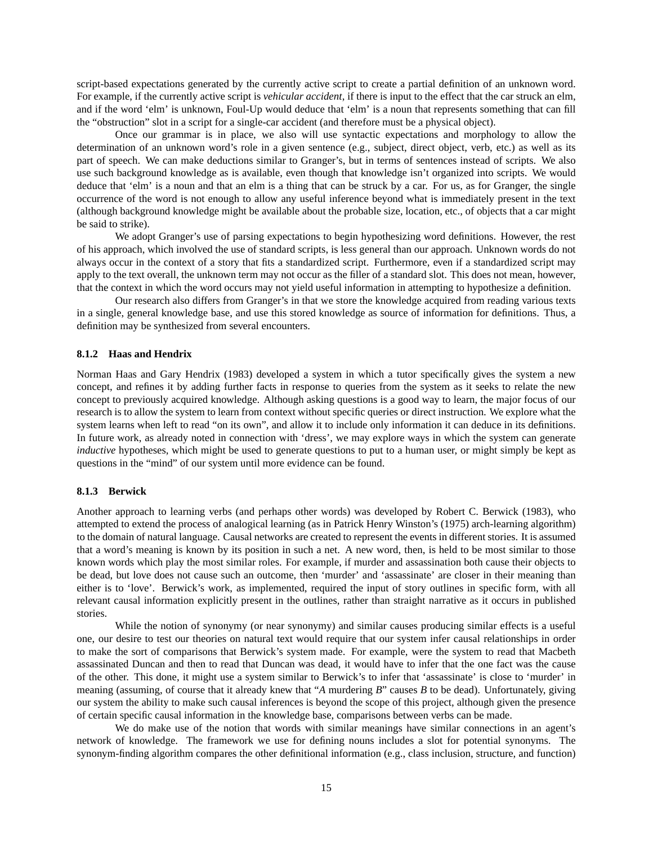script-based expectations generated by the currently active script to create a partial definition of an unknown word. For example, if the currently active script is *vehicular accident*, if there is input to the effect that the car struck an elm, and if the word 'elm' is unknown, Foul-Up would deduce that 'elm' is a noun that represents something that can fill the "obstruction" slot in a script for a single-car accident (and therefore must be a physical object).

Once our grammar is in place, we also will use syntactic expectations and morphology to allow the determination of an unknown word's role in a given sentence (e.g., subject, direct object, verb, etc.) as well as its part of speech. We can make deductions similar to Granger's, but in terms of sentences instead of scripts. We also use such background knowledge as is available, even though that knowledge isn't organized into scripts. We would deduce that 'elm' is a noun and that an elm is a thing that can be struck by a car. For us, as for Granger, the single occurrence of the word is not enough to allow any useful inference beyond what is immediately present in the text (although background knowledge might be available about the probable size, location, etc., of objects that a car might be said to strike).

We adopt Granger's use of parsing expectations to begin hypothesizing word definitions. However, the rest of his approach, which involved the use of standard scripts, is less general than our approach. Unknown words do not always occur in the context of a story that fits a standardized script. Furthermore, even if a standardized script may apply to the text overall, the unknown term may not occur as the filler of a standard slot. This does not mean, however, that the context in which the word occurs may not yield useful information in attempting to hypothesize a definition.

Our research also differs from Granger's in that we store the knowledge acquired from reading various texts in a single, general knowledge base, and use this stored knowledge as source of information for definitions. Thus, a definition may be synthesized from several encounters.

#### **8.1.2 Haas and Hendrix**

Norman Haas and Gary Hendrix (1983) developed a system in which a tutor specifically gives the system a new concept, and refines it by adding further facts in response to queries from the system as it seeks to relate the new concept to previously acquired knowledge. Although asking questions is a good way to learn, the major focus of our research is to allow the system to learn from context without specific queries or direct instruction. We explore what the system learns when left to read "on its own", and allow it to include only information it can deduce in its definitions. In future work, as already noted in connection with 'dress', we may explore ways in which the system can generate *inductive* hypotheses, which might be used to generate questions to put to a human user, or might simply be kept as questions in the "mind" of our system until more evidence can be found.

#### **8.1.3 Berwick**

Another approach to learning verbs (and perhaps other words) was developed by Robert C. Berwick (1983), who attempted to extend the process of analogical learning (as in Patrick Henry Winston's (1975) arch-learning algorithm) to the domain of natural language. Causal networks are created to represent the events in different stories. It is assumed that a word's meaning is known by its position in such a net. A new word, then, is held to be most similar to those known words which play the most similar roles. For example, if murder and assassination both cause their objects to be dead, but love does not cause such an outcome, then 'murder' and 'assassinate' are closer in their meaning than either is to 'love'. Berwick's work, as implemented, required the input of story outlines in specific form, with all relevant causal information explicitly present in the outlines, rather than straight narrative as it occurs in published stories.

While the notion of synonymy (or near synonymy) and similar causes producing similar effects is a useful one, our desire to test our theories on natural text would require that our system infer causal relationships in order to make the sort of comparisons that Berwick's system made. For example, were the system to read that Macbeth assassinated Duncan and then to read that Duncan was dead, it would have to infer that the one fact was the cause of the other. This done, it might use a system similar to Berwick's to infer that 'assassinate' is close to 'murder' in meaning (assuming, of course that it already knew that "*A* murdering *B*" causes *B* to be dead). Unfortunately, giving our system the ability to make such causal inferences is beyond the scope of this project, although given the presence of certain specific causal information in the knowledge base, comparisons between verbs can be made.

We do make use of the notion that words with similar meanings have similar connections in an agent's network of knowledge. The framework we use for defining nouns includes a slot for potential synonyms. The synonym-finding algorithm compares the other definitional information (e.g., class inclusion, structure, and function)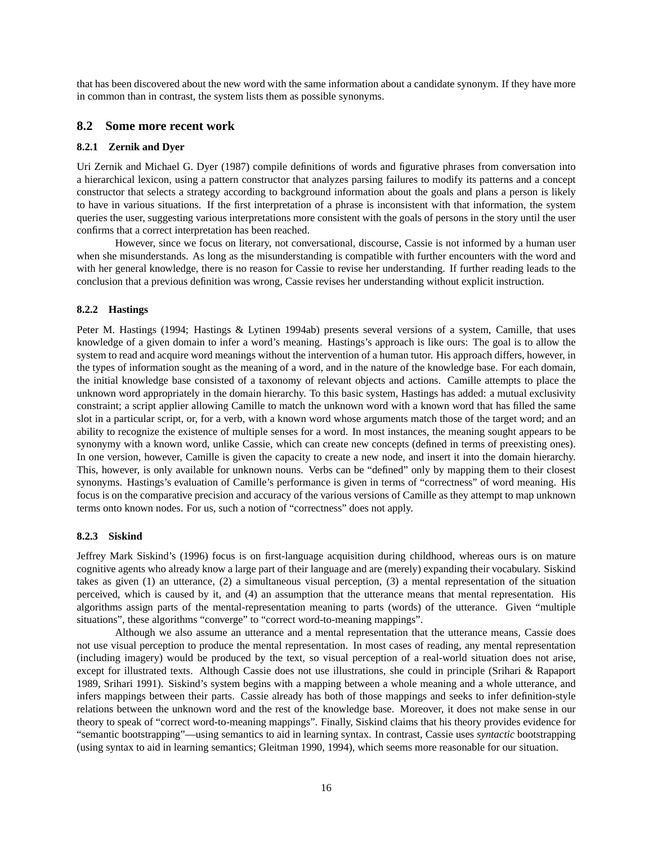that has been discovered about the new word with the same information about a candidate synonym. If they have more in common than in contrast, the system lists them as possible synonyms.

#### **8.2 Some more recent work**

#### **8.2.1 Zernik and Dyer**

Uri Zernik and Michael G. Dyer (1987) compile definitions of words and figurative phrases from conversation into a hierarchical lexicon, using a pattern constructor that analyzes parsing failures to modify its patterns and a concept constructor that selects a strategy according to background information about the goals and plans a person is likely to have in various situations. If the first interpretation of a phrase is inconsistent with that information, the system queries the user, suggesting various interpretations more consistent with the goals of persons in the story until the user confirms that a correct interpretation has been reached.

However, since we focus on literary, not conversational, discourse, Cassie is not informed by a human user when she misunderstands. As long as the misunderstanding is compatible with further encounters with the word and with her general knowledge, there is no reason for Cassie to revise her understanding. If further reading leads to the conclusion that a previous definition was wrong, Cassie revises her understanding without explicit instruction.

#### **8.2.2 Hastings**

Peter M. Hastings (1994; Hastings & Lytinen 1994ab) presents several versions of a system, Camille, that uses knowledge of a given domain to infer a word's meaning. Hastings's approach is like ours: The goal is to allow the system to read and acquire word meanings without the intervention of a human tutor. His approach differs, however, in the types of information sought as the meaning of a word, and in the nature of the knowledge base. For each domain, the initial knowledge base consisted of a taxonomy of relevant objects and actions. Camille attempts to place the unknown word appropriately in the domain hierarchy. To this basic system, Hastings has added: a mutual exclusivity constraint; a script applier allowing Camille to match the unknown word with a known word that has filled the same slot in a particular script, or, for a verb, with a known word whose arguments match those of the target word; and an ability to recognize the existence of multiple senses for a word. In most instances, the meaning sought appears to be synonymy with a known word, unlike Cassie, which can create new concepts (defined in terms of preexisting ones). In one version, however, Camille is given the capacity to create a new node, and insert it into the domain hierarchy. This, however, is only available for unknown nouns. Verbs can be "defined" only by mapping them to their closest synonyms. Hastings's evaluation of Camille's performance is given in terms of "correctness" of word meaning. His focus is on the comparative precision and accuracy of the various versions of Camille as they attempt to map unknown terms onto known nodes. For us, such a notion of "correctness" does not apply.

#### **8.2.3 Siskind**

Jeffrey Mark Siskind's (1996) focus is on first-language acquisition during childhood, whereas ours is on mature cognitive agents who already know a large part of their language and are (merely) expanding their vocabulary. Siskind takes as given (1) an utterance, (2) a simultaneous visual perception, (3) a mental representation of the situation perceived, which is caused by it, and (4) an assumption that the utterance means that mental representation. His algorithms assign parts of the mental-representation meaning to parts (words) of the utterance. Given "multiple situations", these algorithms "converge" to "correct word-to-meaning mappings".

Although we also assume an utterance and a mental representation that the utterance means, Cassie does not use visual perception to produce the mental representation. In most cases of reading, any mental representation (including imagery) would be produced by the text, so visual perception of a real-world situation does not arise, except for illustrated texts. Although Cassie does not use illustrations, she could in principle (Srihari & Rapaport 1989, Srihari 1991). Siskind's system begins with a mapping between a whole meaning and a whole utterance, and infers mappings between their parts. Cassie already has both of those mappings and seeks to infer definition-style relations between the unknown word and the rest of the knowledge base. Moreover, it does not make sense in our theory to speak of "correct word-to-meaning mappings". Finally, Siskind claims that his theory provides evidence for "semantic bootstrapping"—using semantics to aid in learning syntax. In contrast, Cassie uses *syntactic* bootstrapping (using syntax to aid in learning semantics; Gleitman 1990, 1994), which seems more reasonable for our situation.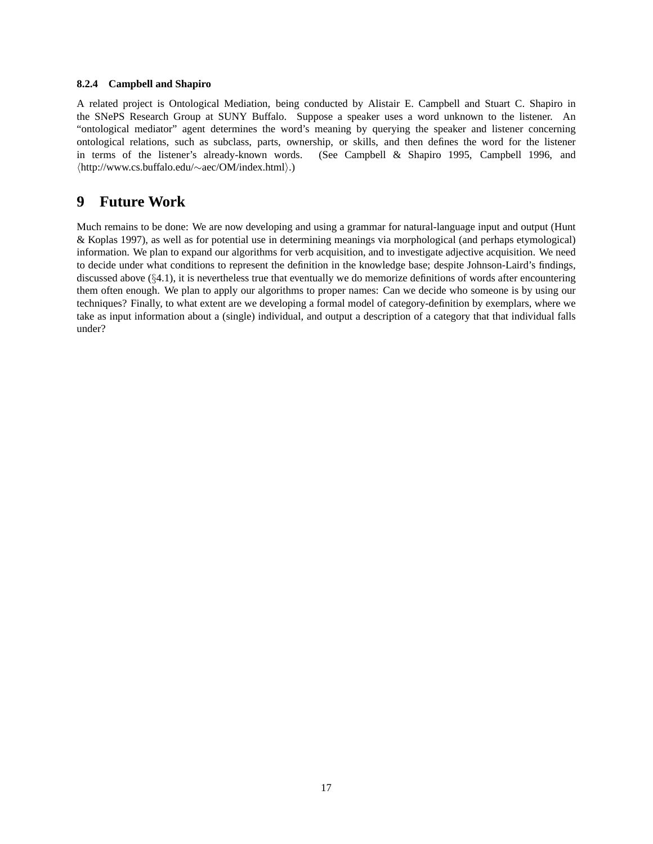#### **8.2.4 Campbell and Shapiro**

A related project is Ontological Mediation, being conducted by Alistair E. Campbell and Stuart C. Shapiro in the SNePS Research Group at SUNY Buffalo. Suppose a speaker uses a word unknown to the listener. An "ontological mediator" agent determines the word's meaning by querying the speaker and listener concerning ontological relations, such as subclass, parts, ownership, or skills, and then defines the word for the listener in terms of the listener's already-known words. (See Campbell & Shapiro 1995, Campbell 1996, and  $\langle$ http://www.cs.buffalo.edu/∼aec/OM/index.html $\rangle$ .)

### **9 Future Work**

Much remains to be done: We are now developing and using a grammar for natural-language input and output (Hunt & Koplas 1997), as well as for potential use in determining meanings via morphological (and perhaps etymological) information. We plan to expand our algorithms for verb acquisition, and to investigate adjective acquisition. We need to decide under what conditions to represent the definition in the knowledge base; despite Johnson-Laird's findings, discussed above (§4.1), it is nevertheless true that eventually we do memorize definitions of words after encountering them often enough. We plan to apply our algorithms to proper names: Can we decide who someone is by using our techniques? Finally, to what extent are we developing a formal model of category-definition by exemplars, where we take as input information about a (single) individual, and output a description of a category that that individual falls under?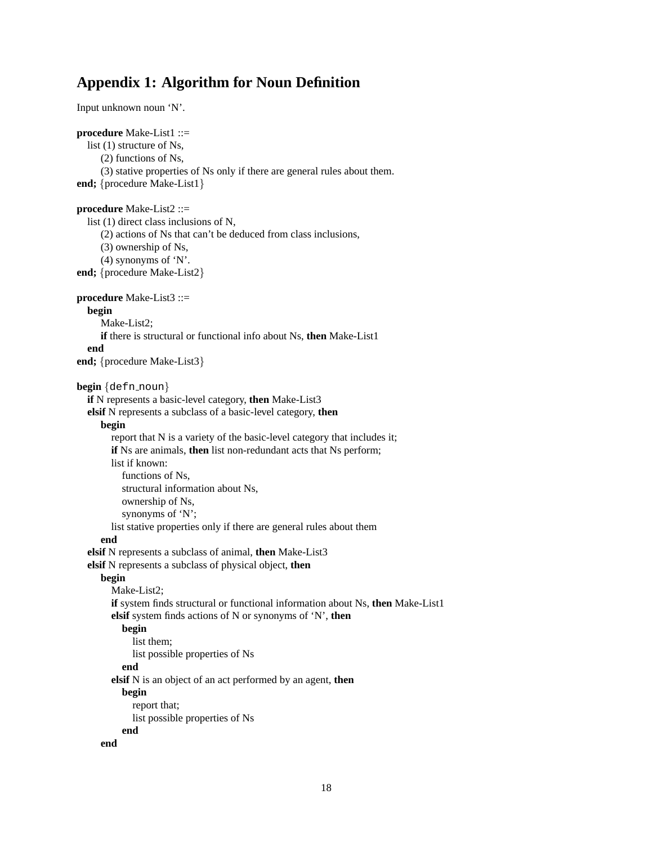### **Appendix 1: Algorithm for Noun Definition**

```
Input unknown noun 'N'.
procedure Make-List1 ::=
  list (1) structure of Ns,
     (2) functions of Ns,
     (3) stative properties of Ns only if there are general rules about them.
end; {procedure Make-List1}
procedure Make-List2 ::=
  list (1) direct class inclusions of N,
     (2) actions of Ns that can't be deduced from class inclusions,
     (3) ownership of Ns,
     (4) synonyms of 'N'.
end; {procedure Make-List2}
procedure Make-List3 ::=
  begin
     Make-List2;
     if there is structural or functional info about Ns, then Make-List1
  end
end; {procedure Make-List3}
begin {defn noun}
  if N represents a basic-level category, then Make-List3
  elsif N represents a subclass of a basic-level category, then
     begin
        report that N is a variety of the basic-level category that includes it;
        if Ns are animals, then list non-redundant acts that Ns perform;
        list if known:
          functions of Ns,
          structural information about Ns,
          ownership of Ns,
          synonyms of 'N';
        list stative properties only if there are general rules about them
     end
  elsif N represents a subclass of animal, then Make-List3
  elsif N represents a subclass of physical object, then
     begin
        Make-List2;
        if system finds structural or functional information about Ns, then Make-List1
        elsif system finds actions of N or synonyms of 'N', then
          begin
             list them;
             list possible properties of Ns
          end
        elsif N is an object of an act performed by an agent, then
          begin
             report that;
             list possible properties of Ns
          end
     end
```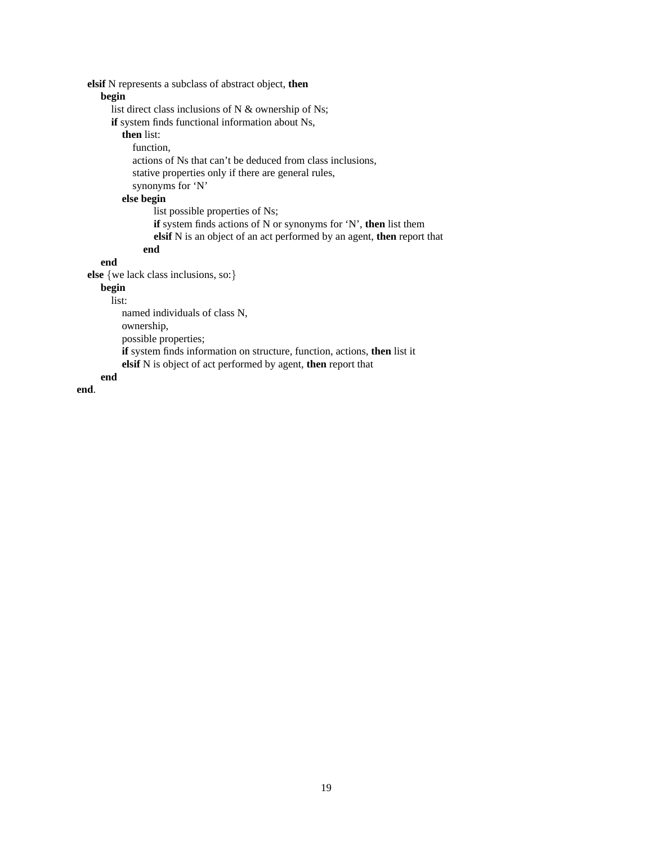**elsif** N represents a subclass of abstract object, **then begin** list direct class inclusions of N & ownership of Ns; **if** system finds functional information about Ns, **then** list: function, actions of Ns that can't be deduced from class inclusions, stative properties only if there are general rules, synonyms for 'N' **else begin** list possible properties of Ns; **if** system finds actions of N or synonyms for 'N', **then** list them **elsif** N is an object of an act performed by an agent, **then** report that **end end else** {we lack class inclusions, so:} **begin** list: named individuals of class N, ownership, possible properties; **if** system finds information on structure, function, actions, **then** list it **elsif** N is object of act performed by agent, **then** report that **end**

**end**.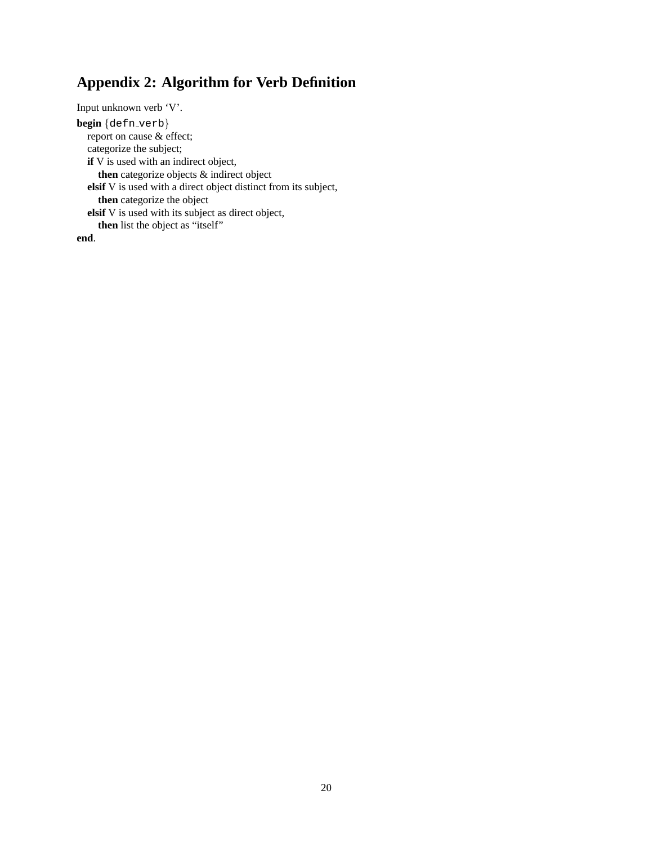## **Appendix 2: Algorithm for Verb Definition**

Input unknown verb 'V'. **begin** {defn verb} report on cause & effect; categorize the subject; **if** V is used with an indirect object, **then** categorize objects & indirect object **elsif** V is used with a direct object distinct from its subject, **then** categorize the object **elsif** V is used with its subject as direct object, **then** list the object as "itself" **end**.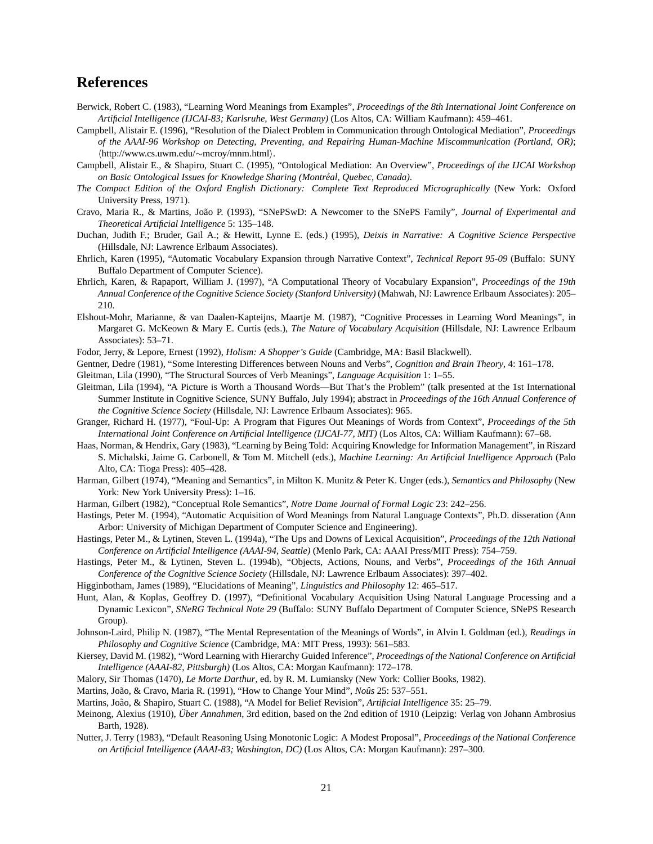### **References**

- Berwick, Robert C. (1983), "Learning Word Meanings from Examples", *Proceedings of the 8th International Joint Conference on Artificial Intelligence (IJCAI-83; Karlsruhe, West Germany)* (Los Altos, CA: William Kaufmann): 459–461.
- Campbell, Alistair E. (1996), "Resolution of the Dialect Problem in Communication through Ontological Mediation", *Proceedings of the AAAI-96 Workshop on Detecting, Preventing, and Repairing Human-Machine Miscommunication (Portland, OR)*; hhttp://www.cs.uwm.edu/∼mcroy/mnm.htmli.
- Campbell, Alistair E., & Shapiro, Stuart C. (1995), "Ontological Mediation: An Overview", *Proceedings of the IJCAI Workshop on Basic Ontological Issues for Knowledge Sharing (Montreal, Quebec, Canada) ´* .
- *The Compact Edition of the Oxford English Dictionary: Complete Text Reproduced Micrographically* (New York: Oxford University Press, 1971).
- Cravo, Maria R., & Martins, Joao P. (1993), "SNePSwD: A Newcomer to the SNePS Family", ˜ *Journal of Experimental and Theoretical Artificial Intelligence* 5: 135–148.
- Duchan, Judith F.; Bruder, Gail A.; & Hewitt, Lynne E. (eds.) (1995), *Deixis in Narrative: A Cognitive Science Perspective* (Hillsdale, NJ: Lawrence Erlbaum Associates).
- Ehrlich, Karen (1995), "Automatic Vocabulary Expansion through Narrative Context", *Technical Report 95-09* (Buffalo: SUNY Buffalo Department of Computer Science).
- Ehrlich, Karen, & Rapaport, William J. (1997), "A Computational Theory of Vocabulary Expansion", *Proceedings of the 19th Annual Conference of the Cognitive Science Society (Stanford University)* (Mahwah, NJ: Lawrence Erlbaum Associates): 205– 210.
- Elshout-Mohr, Marianne, & van Daalen-Kapteijns, Maartje M. (1987), "Cognitive Processes in Learning Word Meanings", in Margaret G. McKeown & Mary E. Curtis (eds.), *The Nature of Vocabulary Acquisition* (Hillsdale, NJ: Lawrence Erlbaum Associates): 53–71.
- Fodor, Jerry, & Lepore, Ernest (1992), *Holism: A Shopper's Guide* (Cambridge, MA: Basil Blackwell).
- Gentner, Dedre (1981), "Some Interesting Differences between Nouns and Verbs", *Cognition and Brain Theory*, 4: 161–178.
- Gleitman, Lila (1990), "The Structural Sources of Verb Meanings", *Language Acquisition* 1: 1–55.
- Gleitman, Lila (1994), "A Picture is Worth a Thousand Words—But That's the Problem" (talk presented at the 1st International Summer Institute in Cognitive Science, SUNY Buffalo, July 1994); abstract in *Proceedings of the 16th Annual Conference of the Cognitive Science Society* (Hillsdale, NJ: Lawrence Erlbaum Associates): 965.
- Granger, Richard H. (1977), "Foul-Up: A Program that Figures Out Meanings of Words from Context", *Proceedings of the 5th International Joint Conference on Artificial Intelligence (IJCAI-77, MIT)* (Los Altos, CA: William Kaufmann): 67–68.
- Haas, Norman, & Hendrix, Gary (1983), "Learning by Being Told: Acquiring Knowledge for Information Management", in Riszard S. Michalski, Jaime G. Carbonell, & Tom M. Mitchell (eds.), *Machine Learning: An Artificial Intelligence Approach* (Palo Alto, CA: Tioga Press): 405–428.
- Harman, Gilbert (1974), "Meaning and Semantics", in Milton K. Munitz & Peter K. Unger (eds.), *Semantics and Philosophy* (New York: New York University Press): 1–16.
- Harman, Gilbert (1982), "Conceptual Role Semantics", *Notre Dame Journal of Formal Logic* 23: 242–256.
- Hastings, Peter M. (1994), "Automatic Acquisition of Word Meanings from Natural Language Contexts", Ph.D. disseration (Ann Arbor: University of Michigan Department of Computer Science and Engineering).
- Hastings, Peter M., & Lytinen, Steven L. (1994a), "The Ups and Downs of Lexical Acquisition", *Proceedings of the 12th National Conference on Artificial Intelligence (AAAI-94, Seattle)* (Menlo Park, CA: AAAI Press/MIT Press): 754–759.
- Hastings, Peter M., & Lytinen, Steven L. (1994b), "Objects, Actions, Nouns, and Verbs", *Proceedings of the 16th Annual Conference of the Cognitive Science Society* (Hillsdale, NJ: Lawrence Erlbaum Associates): 397–402.
- Higginbotham, James (1989), "Elucidations of Meaning", *Linguistics and Philosophy* 12: 465–517.
- Hunt, Alan, & Koplas, Geoffrey D. (1997), "Definitional Vocabulary Acquisition Using Natural Language Processing and a Dynamic Lexicon", *SNeRG Technical Note 29* (Buffalo: SUNY Buffalo Department of Computer Science, SNePS Research Group).
- Johnson-Laird, Philip N. (1987), "The Mental Representation of the Meanings of Words", in Alvin I. Goldman (ed.), *Readings in Philosophy and Cognitive Science* (Cambridge, MA: MIT Press, 1993): 561–583.
- Kiersey, David M. (1982), "Word Learning with Hierarchy Guided Inference", *Proceedings of the National Conference on Artificial Intelligence (AAAI-82, Pittsburgh)* (Los Altos, CA: Morgan Kaufmann): 172–178.
- Malory, Sir Thomas (1470), *Le Morte Darthur*, ed. by R. M. Lumiansky (New York: Collier Books, 1982).
- Martins, João, & Cravo, Maria R. (1991), "How to Change Your Mind", Noûs 25: 537-551.
- Martins, João, & Shapiro, Stuart C. (1988), "A Model for Belief Revision", Artificial Intelligence 35: 25-79.
- Meinong, Alexius (1910), *Über Annahmen*, 3rd edition, based on the 2nd edition of 1910 (Leipzig: Verlag von Johann Ambrosius Barth, 1928).
- Nutter, J. Terry (1983), "Default Reasoning Using Monotonic Logic: A Modest Proposal", *Proceedings of the National Conference on Artificial Intelligence (AAAI-83; Washington, DC)* (Los Altos, CA: Morgan Kaufmann): 297–300.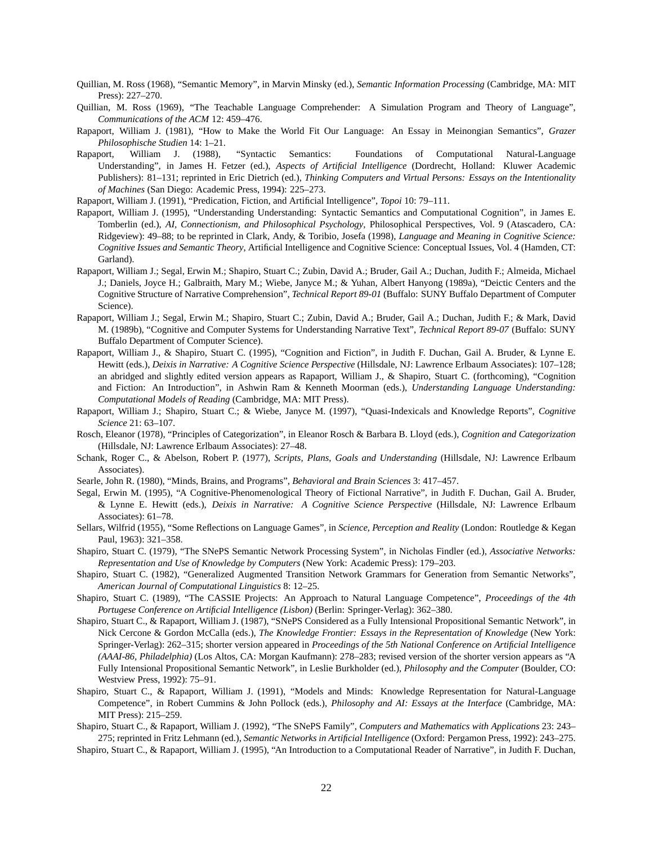- Quillian, M. Ross (1968), "Semantic Memory", in Marvin Minsky (ed.), *Semantic Information Processing* (Cambridge, MA: MIT Press): 227–270.
- Quillian, M. Ross (1969), "The Teachable Language Comprehender: A Simulation Program and Theory of Language", *Communications of the ACM* 12: 459–476.
- Rapaport, William J. (1981), "How to Make the World Fit Our Language: An Essay in Meinongian Semantics", *Grazer Philosophische Studien* 14: 1–21.
- Rapaport, William J. (1988), "Syntactic Semantics: Foundations of Computational Natural-Language Understanding", in James H. Fetzer (ed.), *Aspects of Artificial Intelligence* (Dordrecht, Holland: Kluwer Academic Publishers): 81–131; reprinted in Eric Dietrich (ed.), *Thinking Computers and Virtual Persons: Essays on the Intentionality of Machines* (San Diego: Academic Press, 1994): 225–273.
- Rapaport, William J. (1991), "Predication, Fiction, and Artificial Intelligence", *Topoi* 10: 79–111.
- Rapaport, William J. (1995), "Understanding Understanding: Syntactic Semantics and Computational Cognition", in James E. Tomberlin (ed.), *AI, Connectionism, and Philosophical Psychology*, Philosophical Perspectives, Vol. 9 (Atascadero, CA: Ridgeview): 49–88; to be reprinted in Clark, Andy, & Toribio, Josefa (1998), *Language and Meaning in Cognitive Science: Cognitive Issues and Semantic Theory*, Artificial Intelligence and Cognitive Science: Conceptual Issues, Vol. 4 (Hamden, CT: Garland).
- Rapaport, William J.; Segal, Erwin M.; Shapiro, Stuart C.; Zubin, David A.; Bruder, Gail A.; Duchan, Judith F.; Almeida, Michael J.; Daniels, Joyce H.; Galbraith, Mary M.; Wiebe, Janyce M.; & Yuhan, Albert Hanyong (1989a), "Deictic Centers and the Cognitive Structure of Narrative Comprehension", *Technical Report 89-01* (Buffalo: SUNY Buffalo Department of Computer Science).
- Rapaport, William J.; Segal, Erwin M.; Shapiro, Stuart C.; Zubin, David A.; Bruder, Gail A.; Duchan, Judith F.; & Mark, David M. (1989b), "Cognitive and Computer Systems for Understanding Narrative Text", *Technical Report 89-07* (Buffalo: SUNY Buffalo Department of Computer Science).
- Rapaport, William J., & Shapiro, Stuart C. (1995), "Cognition and Fiction", in Judith F. Duchan, Gail A. Bruder, & Lynne E. Hewitt (eds.), *Deixis in Narrative: A Cognitive Science Perspective* (Hillsdale, NJ: Lawrence Erlbaum Associates): 107–128; an abridged and slightly edited version appears as Rapaport, William J., & Shapiro, Stuart C. (forthcoming), "Cognition and Fiction: An Introduction", in Ashwin Ram & Kenneth Moorman (eds.), *Understanding Language Understanding: Computational Models of Reading* (Cambridge, MA: MIT Press).
- Rapaport, William J.; Shapiro, Stuart C.; & Wiebe, Janyce M. (1997), "Quasi-Indexicals and Knowledge Reports", *Cognitive Science* 21: 63–107.
- Rosch, Eleanor (1978), "Principles of Categorization", in Eleanor Rosch & Barbara B. Lloyd (eds.), *Cognition and Categorization* (Hillsdale, NJ: Lawrence Erlbaum Associates): 27–48.
- Schank, Roger C., & Abelson, Robert P. (1977), *Scripts, Plans, Goals and Understanding* (Hillsdale, NJ: Lawrence Erlbaum Associates).
- Searle, John R. (1980), "Minds, Brains, and Programs", *Behavioral and Brain Sciences* 3: 417–457.
- Segal, Erwin M. (1995), "A Cognitive-Phenomenological Theory of Fictional Narrative", in Judith F. Duchan, Gail A. Bruder, & Lynne E. Hewitt (eds.), *Deixis in Narrative: A Cognitive Science Perspective* (Hillsdale, NJ: Lawrence Erlbaum Associates): 61–78.
- Sellars, Wilfrid (1955), "Some Reflections on Language Games", in *Science, Perception and Reality* (London: Routledge & Kegan Paul, 1963): 321–358.
- Shapiro, Stuart C. (1979), "The SNePS Semantic Network Processing System", in Nicholas Findler (ed.), *Associative Networks: Representation and Use of Knowledge by Computers* (New York: Academic Press): 179–203.
- Shapiro, Stuart C. (1982), "Generalized Augmented Transition Network Grammars for Generation from Semantic Networks", *American Journal of Computational Linguistics* 8: 12–25.
- Shapiro, Stuart C. (1989), "The CASSIE Projects: An Approach to Natural Language Competence", *Proceedings of the 4th Portugese Conference on Artificial Intelligence (Lisbon)* (Berlin: Springer-Verlag): 362–380.
- Shapiro, Stuart C., & Rapaport, William J. (1987), "SNePS Considered as a Fully Intensional Propositional Semantic Network", in Nick Cercone & Gordon McCalla (eds.), *The Knowledge Frontier: Essays in the Representation of Knowledge* (New York: Springer-Verlag): 262–315; shorter version appeared in *Proceedings of the 5th National Conference on Artificial Intelligence (AAAI-86, Philadelphia)* (Los Altos, CA: Morgan Kaufmann): 278–283; revised version of the shorter version appears as "A Fully Intensional Propositional Semantic Network", in Leslie Burkholder (ed.), *Philosophy and the Computer* (Boulder, CO: Westview Press, 1992): 75–91.
- Shapiro, Stuart C., & Rapaport, William J. (1991), "Models and Minds: Knowledge Representation for Natural-Language Competence", in Robert Cummins & John Pollock (eds.), *Philosophy and AI: Essays at the Interface* (Cambridge, MA: MIT Press): 215–259.

Shapiro, Stuart C., & Rapaport, William J. (1992), "The SNePS Family", *Computers and Mathematics with Applications* 23: 243– 275; reprinted in Fritz Lehmann (ed.), *Semantic Networks in Artificial Intelligence* (Oxford: Pergamon Press, 1992): 243–275.

Shapiro, Stuart C., & Rapaport, William J. (1995), "An Introduction to a Computational Reader of Narrative", in Judith F. Duchan,